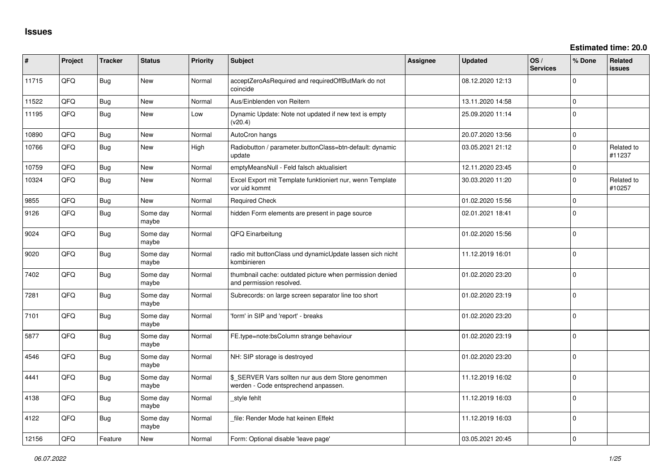**Estimated time: 20.0**

| #     | Project | <b>Tracker</b> | <b>Status</b>     | <b>Priority</b> | <b>Subject</b>                                                                            | Assignee | <b>Updated</b>   | OS/<br><b>Services</b> | % Done         | Related<br>issues    |
|-------|---------|----------------|-------------------|-----------------|-------------------------------------------------------------------------------------------|----------|------------------|------------------------|----------------|----------------------|
| 11715 | QFQ     | <b>Bug</b>     | New               | Normal          | acceptZeroAsRequired and requiredOffButMark do not<br>coincide                            |          | 08.12.2020 12:13 |                        | $\Omega$       |                      |
| 11522 | QFQ     | Bug            | New               | Normal          | Aus/Einblenden von Reitern                                                                |          | 13.11.2020 14:58 |                        | $\overline{0}$ |                      |
| 11195 | QFQ     | <b>Bug</b>     | New               | Low             | Dynamic Update: Note not updated if new text is empty<br>(v20.4)                          |          | 25.09.2020 11:14 |                        | $\overline{0}$ |                      |
| 10890 | QFQ     | Bug            | New               | Normal          | AutoCron hangs                                                                            |          | 20.07.2020 13:56 |                        | 0              |                      |
| 10766 | QFQ     | Bug            | New               | High            | Radiobutton / parameter.buttonClass=btn-default: dynamic<br>update                        |          | 03.05.2021 21:12 |                        | $\Omega$       | Related to<br>#11237 |
| 10759 | QFQ     | Bug            | New               | Normal          | emptyMeansNull - Feld falsch aktualisiert                                                 |          | 12.11.2020 23:45 |                        | $\mathbf 0$    |                      |
| 10324 | QFQ     | Bug            | <b>New</b>        | Normal          | Excel Export mit Template funktioniert nur, wenn Template<br>vor uid kommt                |          | 30.03.2020 11:20 |                        | $\Omega$       | Related to<br>#10257 |
| 9855  | QFQ     | Bug            | <b>New</b>        | Normal          | <b>Required Check</b>                                                                     |          | 01.02.2020 15:56 |                        | $\Omega$       |                      |
| 9126  | QFQ     | Bug            | Some day<br>maybe | Normal          | hidden Form elements are present in page source                                           |          | 02.01.2021 18:41 |                        | $\overline{0}$ |                      |
| 9024  | QFQ     | Bug            | Some day<br>maybe | Normal          | QFQ Einarbeitung                                                                          |          | 01.02.2020 15:56 |                        | $\overline{0}$ |                      |
| 9020  | QFQ     | <b>Bug</b>     | Some day<br>maybe | Normal          | radio mit buttonClass und dynamicUpdate lassen sich nicht<br>kombinieren                  |          | 11.12.2019 16:01 |                        | $\overline{0}$ |                      |
| 7402  | QFQ     | Bug            | Some day<br>maybe | Normal          | thumbnail cache: outdated picture when permission denied<br>and permission resolved.      |          | 01.02.2020 23:20 |                        | $\mathbf 0$    |                      |
| 7281  | QFQ     | Bug            | Some day<br>maybe | Normal          | Subrecords: on large screen separator line too short                                      |          | 01.02.2020 23:19 |                        | $\Omega$       |                      |
| 7101  | QFQ     | <b>Bug</b>     | Some day<br>maybe | Normal          | 'form' in SIP and 'report' - breaks                                                       |          | 01.02.2020 23:20 |                        | $\Omega$       |                      |
| 5877  | QFQ     | Bug            | Some day<br>maybe | Normal          | FE.type=note:bsColumn strange behaviour                                                   |          | 01.02.2020 23:19 |                        | $\Omega$       |                      |
| 4546  | QFQ     | Bug            | Some day<br>maybe | Normal          | NH: SIP storage is destroyed                                                              |          | 01.02.2020 23:20 |                        | $\Omega$       |                      |
| 4441  | QFQ     | Bug            | Some day<br>maybe | Normal          | \$ SERVER Vars sollten nur aus dem Store genommen<br>werden - Code entsprechend anpassen. |          | 11.12.2019 16:02 |                        | 0              |                      |
| 4138  | QFQ     | <b>Bug</b>     | Some day<br>maybe | Normal          | style fehlt                                                                               |          | 11.12.2019 16:03 |                        | 0              |                      |
| 4122  | QFQ     | <b>Bug</b>     | Some day<br>maybe | Normal          | file: Render Mode hat keinen Effekt                                                       |          | 11.12.2019 16:03 |                        | $\overline{0}$ |                      |
| 12156 | QFQ     | Feature        | New               | Normal          | Form: Optional disable 'leave page'                                                       |          | 03.05.2021 20:45 |                        | 0              |                      |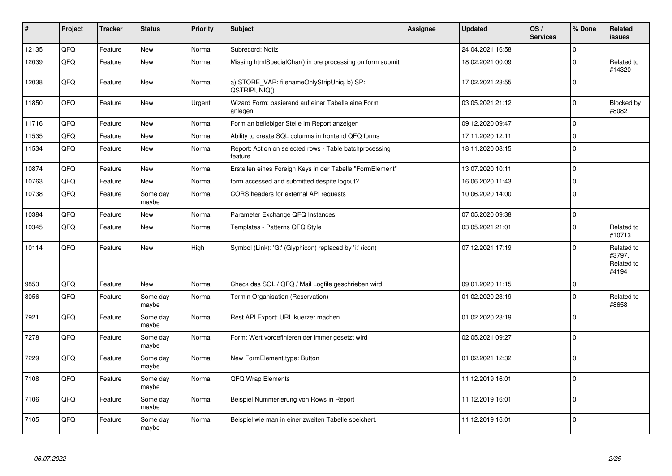| #     | Project | <b>Tracker</b> | <b>Status</b>     | <b>Priority</b> | <b>Subject</b>                                                     | Assignee | <b>Updated</b>   | OS/<br><b>Services</b> | % Done         | Related<br><b>issues</b>                    |
|-------|---------|----------------|-------------------|-----------------|--------------------------------------------------------------------|----------|------------------|------------------------|----------------|---------------------------------------------|
| 12135 | QFQ     | Feature        | <b>New</b>        | Normal          | Subrecord: Notiz                                                   |          | 24.04.2021 16:58 |                        | $\Omega$       |                                             |
| 12039 | QFQ     | Feature        | <b>New</b>        | Normal          | Missing htmlSpecialChar() in pre processing on form submit         |          | 18.02.2021 00:09 |                        | $\Omega$       | Related to<br>#14320                        |
| 12038 | QFQ     | Feature        | <b>New</b>        | Normal          | a) STORE_VAR: filenameOnlyStripUniq, b) SP:<br>QSTRIPUNIQ()        |          | 17.02.2021 23:55 |                        | $\Omega$       |                                             |
| 11850 | QFQ     | Feature        | <b>New</b>        | Urgent          | Wizard Form: basierend auf einer Tabelle eine Form<br>anlegen.     |          | 03.05.2021 21:12 |                        | $\mathbf 0$    | Blocked by<br>#8082                         |
| 11716 | QFQ     | Feature        | <b>New</b>        | Normal          | Form an beliebiger Stelle im Report anzeigen                       |          | 09.12.2020 09:47 |                        | $\mathbf 0$    |                                             |
| 11535 | QFQ     | Feature        | <b>New</b>        | Normal          | Ability to create SQL columns in frontend QFQ forms                |          | 17.11.2020 12:11 |                        | $\Omega$       |                                             |
| 11534 | QFQ     | Feature        | <b>New</b>        | Normal          | Report: Action on selected rows - Table batchprocessing<br>feature |          | 18.11.2020 08:15 |                        | $\Omega$       |                                             |
| 10874 | QFQ     | Feature        | <b>New</b>        | Normal          | Erstellen eines Foreign Keys in der Tabelle "FormElement"          |          | 13.07.2020 10:11 |                        | $\mathbf 0$    |                                             |
| 10763 | QFQ     | Feature        | <b>New</b>        | Normal          | form accessed and submitted despite logout?                        |          | 16.06.2020 11:43 |                        | $\mathbf 0$    |                                             |
| 10738 | QFQ     | Feature        | Some day<br>maybe | Normal          | CORS headers for external API requests                             |          | 10.06.2020 14:00 |                        | $\Omega$       |                                             |
| 10384 | QFQ     | Feature        | <b>New</b>        | Normal          | Parameter Exchange QFQ Instances                                   |          | 07.05.2020 09:38 |                        | $\mathbf 0$    |                                             |
| 10345 | QFQ     | Feature        | <b>New</b>        | Normal          | Templates - Patterns QFQ Style                                     |          | 03.05.2021 21:01 |                        | $\Omega$       | Related to<br>#10713                        |
| 10114 | QFQ     | Feature        | New               | High            | Symbol (Link): 'G:' (Glyphicon) replaced by 'i:' (icon)            |          | 07.12.2021 17:19 |                        | $\Omega$       | Related to<br>#3797,<br>Related to<br>#4194 |
| 9853  | QFQ     | Feature        | <b>New</b>        | Normal          | Check das SQL / QFQ / Mail Logfile geschrieben wird                |          | 09.01.2020 11:15 |                        | $\Omega$       |                                             |
| 8056  | QFQ     | Feature        | Some day<br>maybe | Normal          | Termin Organisation (Reservation)                                  |          | 01.02.2020 23:19 |                        | $\Omega$       | Related to<br>#8658                         |
| 7921  | QFQ     | Feature        | Some day<br>maybe | Normal          | Rest API Export: URL kuerzer machen                                |          | 01.02.2020 23:19 |                        | $\overline{0}$ |                                             |
| 7278  | QFQ     | Feature        | Some day<br>maybe | Normal          | Form: Wert vordefinieren der immer gesetzt wird                    |          | 02.05.2021 09:27 |                        | $\Omega$       |                                             |
| 7229  | QFQ     | Feature        | Some day<br>maybe | Normal          | New FormElement.type: Button                                       |          | 01.02.2021 12:32 |                        | $\Omega$       |                                             |
| 7108  | QFQ     | Feature        | Some day<br>maybe | Normal          | QFQ Wrap Elements                                                  |          | 11.12.2019 16:01 |                        | $\Omega$       |                                             |
| 7106  | QFQ     | Feature        | Some day<br>maybe | Normal          | Beispiel Nummerierung von Rows in Report                           |          | 11.12.2019 16:01 |                        | $\Omega$       |                                             |
| 7105  | QFQ     | Feature        | Some day<br>maybe | Normal          | Beispiel wie man in einer zweiten Tabelle speichert.               |          | 11.12.2019 16:01 |                        | $\Omega$       |                                             |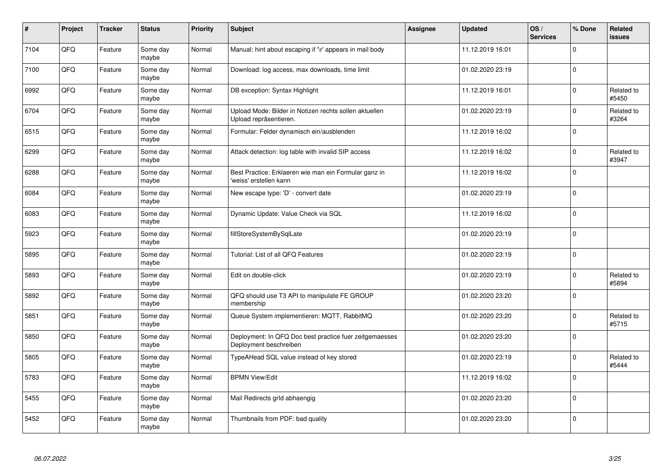| $\pmb{\#}$ | Project | <b>Tracker</b> | <b>Status</b>     | <b>Priority</b> | <b>Subject</b>                                                                    | Assignee | <b>Updated</b>   | OS/<br><b>Services</b> | % Done      | Related<br>issues   |
|------------|---------|----------------|-------------------|-----------------|-----------------------------------------------------------------------------------|----------|------------------|------------------------|-------------|---------------------|
| 7104       | QFQ     | Feature        | Some day<br>maybe | Normal          | Manual: hint about escaping if '\r' appears in mail body                          |          | 11.12.2019 16:01 |                        | $\Omega$    |                     |
| 7100       | QFQ     | Feature        | Some day<br>maybe | Normal          | Download: log access, max downloads, time limit                                   |          | 01.02.2020 23:19 |                        | $\mathbf 0$ |                     |
| 6992       | QFQ     | Feature        | Some day<br>maybe | Normal          | DB exception: Syntax Highlight                                                    |          | 11.12.2019 16:01 |                        | $\mathbf 0$ | Related to<br>#5450 |
| 6704       | QFQ     | Feature        | Some day<br>maybe | Normal          | Upload Mode: Bilder in Notizen rechts sollen aktuellen<br>Upload repräsentieren.  |          | 01.02.2020 23:19 |                        | $\Omega$    | Related to<br>#3264 |
| 6515       | QFQ     | Feature        | Some day<br>maybe | Normal          | Formular: Felder dynamisch ein/ausblenden                                         |          | 11.12.2019 16:02 |                        | $\mathbf 0$ |                     |
| 6299       | QFQ     | Feature        | Some day<br>maybe | Normal          | Attack detection: log table with invalid SIP access                               |          | 11.12.2019 16:02 |                        | $\mathbf 0$ | Related to<br>#3947 |
| 6288       | QFQ     | Feature        | Some day<br>maybe | Normal          | Best Practice: Erklaeren wie man ein Formular ganz in<br>'weiss' erstellen kann   |          | 11.12.2019 16:02 |                        | $\mathbf 0$ |                     |
| 6084       | QFQ     | Feature        | Some day<br>maybe | Normal          | New escape type: 'D' - convert date                                               |          | 01.02.2020 23:19 |                        | $\Omega$    |                     |
| 6083       | QFQ     | Feature        | Some day<br>maybe | Normal          | Dynamic Update: Value Check via SQL                                               |          | 11.12.2019 16:02 |                        | $\mathbf 0$ |                     |
| 5923       | QFQ     | Feature        | Some day<br>maybe | Normal          | fillStoreSystemBySqlLate                                                          |          | 01.02.2020 23:19 |                        | $\mathbf 0$ |                     |
| 5895       | QFQ     | Feature        | Some day<br>maybe | Normal          | Tutorial: List of all QFQ Features                                                |          | 01.02.2020 23:19 |                        | $\Omega$    |                     |
| 5893       | QFQ     | Feature        | Some day<br>maybe | Normal          | Edit on double-click                                                              |          | 01.02.2020 23:19 |                        | $\Omega$    | Related to<br>#5894 |
| 5892       | QFQ     | Feature        | Some day<br>maybe | Normal          | QFQ should use T3 API to manipulate FE GROUP<br>membership                        |          | 01.02.2020 23:20 |                        | $\mathbf 0$ |                     |
| 5851       | QFQ     | Feature        | Some day<br>maybe | Normal          | Queue System implementieren: MQTT, RabbitMQ                                       |          | 01.02.2020 23:20 |                        | $\mathbf 0$ | Related to<br>#5715 |
| 5850       | QFQ     | Feature        | Some day<br>maybe | Normal          | Deployment: In QFQ Doc best practice fuer zeitgemaesses<br>Deployment beschreiben |          | 01.02.2020 23:20 |                        | $\Omega$    |                     |
| 5805       | QFQ     | Feature        | Some day<br>maybe | Normal          | TypeAHead SQL value instead of key stored                                         |          | 01.02.2020 23:19 |                        | $\Omega$    | Related to<br>#5444 |
| 5783       | QFQ     | Feature        | Some day<br>maybe | Normal          | <b>BPMN View/Edit</b>                                                             |          | 11.12.2019 16:02 |                        | $\mathbf 0$ |                     |
| 5455       | QFQ     | Feature        | Some day<br>maybe | Normal          | Mail Redirects grld abhaengig                                                     |          | 01.02.2020 23:20 |                        | $\mathbf 0$ |                     |
| 5452       | QFQ     | Feature        | Some day<br>maybe | Normal          | Thumbnails from PDF: bad quality                                                  |          | 01.02.2020 23:20 |                        | $\Omega$    |                     |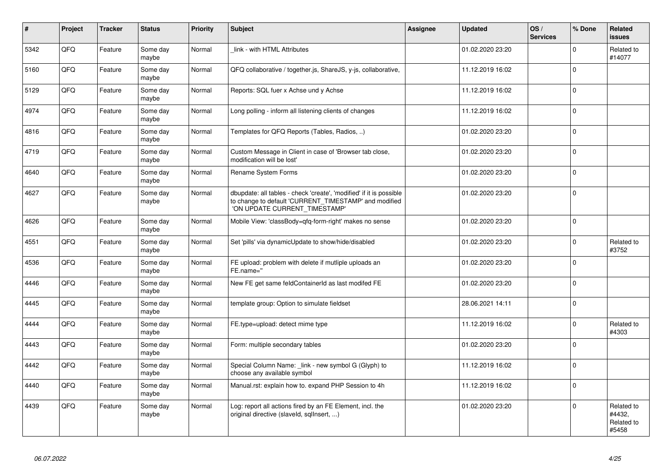| $\vert$ # | Project | <b>Tracker</b> | <b>Status</b>     | <b>Priority</b> | <b>Subject</b>                                                                                                                                                | Assignee | <b>Updated</b>   | OS/<br><b>Services</b> | % Done       | Related<br><b>issues</b>                    |
|-----------|---------|----------------|-------------------|-----------------|---------------------------------------------------------------------------------------------------------------------------------------------------------------|----------|------------------|------------------------|--------------|---------------------------------------------|
| 5342      | QFQ     | Feature        | Some day<br>maybe | Normal          | link - with HTML Attributes                                                                                                                                   |          | 01.02.2020 23:20 |                        | $\Omega$     | Related to<br>#14077                        |
| 5160      | QFQ     | Feature        | Some day<br>maybe | Normal          | QFQ collaborative / together.js, ShareJS, y-js, collaborative,                                                                                                |          | 11.12.2019 16:02 |                        | $\Omega$     |                                             |
| 5129      | QFQ     | Feature        | Some day<br>maybe | Normal          | Reports: SQL fuer x Achse und y Achse                                                                                                                         |          | 11.12.2019 16:02 |                        | $\Omega$     |                                             |
| 4974      | QFQ     | Feature        | Some day<br>maybe | Normal          | Long polling - inform all listening clients of changes                                                                                                        |          | 11.12.2019 16:02 |                        | $\Omega$     |                                             |
| 4816      | QFQ     | Feature        | Some day<br>maybe | Normal          | Templates for QFQ Reports (Tables, Radios, )                                                                                                                  |          | 01.02.2020 23:20 |                        | $\mathbf{0}$ |                                             |
| 4719      | QFQ     | Feature        | Some day<br>maybe | Normal          | Custom Message in Client in case of 'Browser tab close,<br>modification will be lost'                                                                         |          | 01.02.2020 23:20 |                        | $\Omega$     |                                             |
| 4640      | QFQ     | Feature        | Some day<br>maybe | Normal          | Rename System Forms                                                                                                                                           |          | 01.02.2020 23:20 |                        | $\Omega$     |                                             |
| 4627      | QFQ     | Feature        | Some day<br>maybe | Normal          | dbupdate: all tables - check 'create', 'modified' if it is possible<br>to change to default 'CURRENT_TIMESTAMP' and modified<br>'ON UPDATE CURRENT TIMESTAMP' |          | 01.02.2020 23:20 |                        | $\Omega$     |                                             |
| 4626      | QFQ     | Feature        | Some day<br>maybe | Normal          | Mobile View: 'classBody=qfq-form-right' makes no sense                                                                                                        |          | 01.02.2020 23:20 |                        | $\Omega$     |                                             |
| 4551      | QFQ     | Feature        | Some day<br>maybe | Normal          | Set 'pills' via dynamicUpdate to show/hide/disabled                                                                                                           |          | 01.02.2020 23:20 |                        | $\mathbf 0$  | Related to<br>#3752                         |
| 4536      | QFQ     | Feature        | Some day<br>maybe | Normal          | FE upload: problem with delete if mutliple uploads an<br>FE.name="                                                                                            |          | 01.02.2020 23:20 |                        | $\Omega$     |                                             |
| 4446      | QFQ     | Feature        | Some day<br>maybe | Normal          | New FE get same feldContainerId as last modifed FE                                                                                                            |          | 01.02.2020 23:20 |                        | $\Omega$     |                                             |
| 4445      | QFQ     | Feature        | Some day<br>maybe | Normal          | template group: Option to simulate fieldset                                                                                                                   |          | 28.06.2021 14:11 |                        | $\Omega$     |                                             |
| 4444      | QFQ     | Feature        | Some day<br>maybe | Normal          | FE.type=upload: detect mime type                                                                                                                              |          | 11.12.2019 16:02 |                        | $\Omega$     | Related to<br>#4303                         |
| 4443      | QFQ     | Feature        | Some day<br>maybe | Normal          | Form: multiple secondary tables                                                                                                                               |          | 01.02.2020 23:20 |                        | $\Omega$     |                                             |
| 4442      | QFQ     | Feature        | Some day<br>maybe | Normal          | Special Column Name: _link - new symbol G (Glyph) to<br>choose any available symbol                                                                           |          | 11.12.2019 16:02 |                        | $\Omega$     |                                             |
| 4440      | QFQ     | Feature        | Some day<br>maybe | Normal          | Manual.rst: explain how to. expand PHP Session to 4h                                                                                                          |          | 11.12.2019 16:02 |                        | $\Omega$     |                                             |
| 4439      | QFQ     | Feature        | Some day<br>maybe | Normal          | Log: report all actions fired by an FE Element, incl. the<br>original directive (slaveld, sqllnsert, )                                                        |          | 01.02.2020 23:20 |                        | $\Omega$     | Related to<br>#4432,<br>Related to<br>#5458 |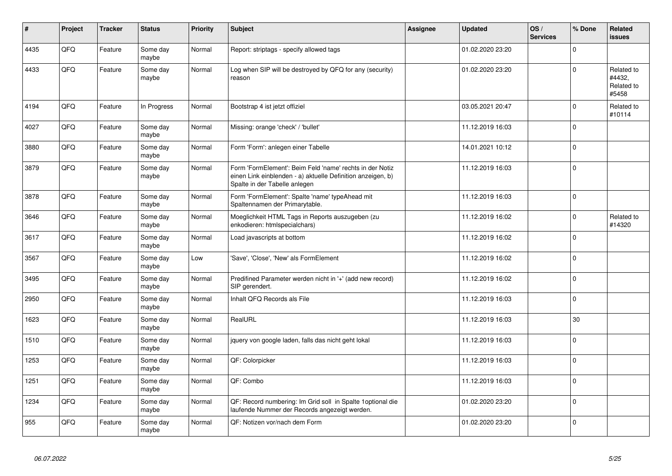| ∦    | Project | <b>Tracker</b> | <b>Status</b>     | <b>Priority</b> | Subject                                                                                                                                                  | <b>Assignee</b> | <b>Updated</b>   | OS/<br><b>Services</b> | % Done         | Related<br><b>issues</b>                    |
|------|---------|----------------|-------------------|-----------------|----------------------------------------------------------------------------------------------------------------------------------------------------------|-----------------|------------------|------------------------|----------------|---------------------------------------------|
| 4435 | QFQ     | Feature        | Some day<br>maybe | Normal          | Report: striptags - specify allowed tags                                                                                                                 |                 | 01.02.2020 23:20 |                        | $\Omega$       |                                             |
| 4433 | QFQ     | Feature        | Some day<br>maybe | Normal          | Log when SIP will be destroyed by QFQ for any (security)<br>reason                                                                                       |                 | 01.02.2020 23:20 |                        | $\Omega$       | Related to<br>#4432,<br>Related to<br>#5458 |
| 4194 | QFQ     | Feature        | In Progress       | Normal          | Bootstrap 4 ist jetzt offiziel                                                                                                                           |                 | 03.05.2021 20:47 |                        | $\Omega$       | Related to<br>#10114                        |
| 4027 | QFQ     | Feature        | Some day<br>maybe | Normal          | Missing: orange 'check' / 'bullet'                                                                                                                       |                 | 11.12.2019 16:03 |                        | $\Omega$       |                                             |
| 3880 | QFQ     | Feature        | Some day<br>maybe | Normal          | Form 'Form': anlegen einer Tabelle                                                                                                                       |                 | 14.01.2021 10:12 |                        | $\Omega$       |                                             |
| 3879 | QFQ     | Feature        | Some day<br>maybe | Normal          | Form 'FormElement': Beim Feld 'name' rechts in der Notiz<br>einen Link einblenden - a) aktuelle Definition anzeigen, b)<br>Spalte in der Tabelle anlegen |                 | 11.12.2019 16:03 |                        | $\Omega$       |                                             |
| 3878 | QFQ     | Feature        | Some day<br>maybe | Normal          | Form 'FormElement': Spalte 'name' typeAhead mit<br>Spaltennamen der Primarytable.                                                                        |                 | 11.12.2019 16:03 |                        | $\Omega$       |                                             |
| 3646 | QFQ     | Feature        | Some day<br>maybe | Normal          | Moeglichkeit HTML Tags in Reports auszugeben (zu<br>enkodieren: htmlspecialchars)                                                                        |                 | 11.12.2019 16:02 |                        | $\Omega$       | Related to<br>#14320                        |
| 3617 | QFQ     | Feature        | Some day<br>maybe | Normal          | Load javascripts at bottom                                                                                                                               |                 | 11.12.2019 16:02 |                        | $\Omega$       |                                             |
| 3567 | QFQ     | Feature        | Some day<br>maybe | Low             | 'Save', 'Close', 'New' als FormElement                                                                                                                   |                 | 11.12.2019 16:02 |                        | $\Omega$       |                                             |
| 3495 | QFQ     | Feature        | Some day<br>maybe | Normal          | Predifined Parameter werden nicht in '+' (add new record)<br>SIP gerendert.                                                                              |                 | 11.12.2019 16:02 |                        | $\Omega$       |                                             |
| 2950 | QFQ     | Feature        | Some day<br>maybe | Normal          | Inhalt QFQ Records als File                                                                                                                              |                 | 11.12.2019 16:03 |                        | $\Omega$       |                                             |
| 1623 | QFQ     | Feature        | Some day<br>maybe | Normal          | RealURL                                                                                                                                                  |                 | 11.12.2019 16:03 |                        | 30             |                                             |
| 1510 | QFQ     | Feature        | Some day<br>maybe | Normal          | jquery von google laden, falls das nicht geht lokal                                                                                                      |                 | 11.12.2019 16:03 |                        | $\Omega$       |                                             |
| 1253 | QFQ     | Feature        | Some day<br>maybe | Normal          | QF: Colorpicker                                                                                                                                          |                 | 11.12.2019 16:03 |                        | $\overline{0}$ |                                             |
| 1251 | QFQ     | Feature        | Some day<br>maybe | Normal          | QF: Combo                                                                                                                                                |                 | 11.12.2019 16:03 |                        | $\Omega$       |                                             |
| 1234 | QFQ     | Feature        | Some day<br>maybe | Normal          | QF: Record numbering: Im Grid soll in Spalte 1 optional die<br>laufende Nummer der Records angezeigt werden.                                             |                 | 01.02.2020 23:20 |                        | $\Omega$       |                                             |
| 955  | QFQ     | Feature        | Some day<br>maybe | Normal          | QF: Notizen vor/nach dem Form                                                                                                                            |                 | 01.02.2020 23:20 |                        | $\Omega$       |                                             |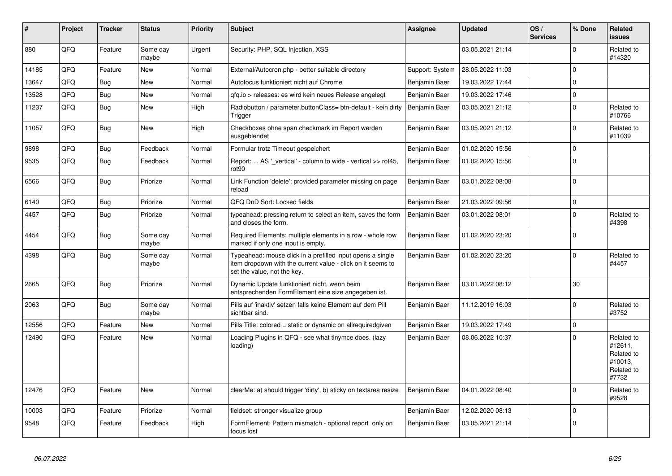| #     | Project | <b>Tracker</b> | <b>Status</b>     | <b>Priority</b> | <b>Subject</b>                                                                                                                                           | Assignee        | <b>Updated</b>   | OS/<br><b>Services</b> | % Done      | Related<br><b>issues</b>                                              |
|-------|---------|----------------|-------------------|-----------------|----------------------------------------------------------------------------------------------------------------------------------------------------------|-----------------|------------------|------------------------|-------------|-----------------------------------------------------------------------|
| 880   | QFQ     | Feature        | Some day<br>maybe | Urgent          | Security: PHP, SQL Injection, XSS                                                                                                                        |                 | 03.05.2021 21:14 |                        | $\Omega$    | Related to<br>#14320                                                  |
| 14185 | QFQ     | Feature        | <b>New</b>        | Normal          | External/Autocron.php - better suitable directory                                                                                                        | Support: System | 28.05.2022 11:03 |                        | $\mathbf 0$ |                                                                       |
| 13647 | QFQ     | Bug            | <b>New</b>        | Normal          | Autofocus funktioniert nicht auf Chrome                                                                                                                  | Benjamin Baer   | 19.03.2022 17:44 |                        | $\Omega$    |                                                                       |
| 13528 | QFQ     | Bug            | <b>New</b>        | Normal          | gfg.io > releases: es wird kein neues Release angelegt                                                                                                   | Benjamin Baer   | 19.03.2022 17:46 |                        | $\mathbf 0$ |                                                                       |
| 11237 | QFQ     | Bug            | <b>New</b>        | High            | Radiobutton / parameter.buttonClass= btn-default - kein dirty<br>Trigger                                                                                 | Benjamin Baer   | 03.05.2021 21:12 |                        | $\mathbf 0$ | Related to<br>#10766                                                  |
| 11057 | QFQ     | <b>Bug</b>     | <b>New</b>        | High            | Checkboxes ohne span.checkmark im Report werden<br>ausgeblendet                                                                                          | Benjamin Baer   | 03.05.2021 21:12 |                        | $\Omega$    | Related to<br>#11039                                                  |
| 9898  | QFQ     | Bug            | Feedback          | Normal          | Formular trotz Timeout gespeichert                                                                                                                       | Benjamin Baer   | 01.02.2020 15:56 |                        | $\Omega$    |                                                                       |
| 9535  | QFQ     | Bug            | Feedback          | Normal          | Report:  AS '_vertical' - column to wide - vertical >> rot45,<br>rot <sub>90</sub>                                                                       | Benjamin Baer   | 01.02.2020 15:56 |                        | $\Omega$    |                                                                       |
| 6566  | QFQ     | <b>Bug</b>     | Priorize          | Normal          | Link Function 'delete': provided parameter missing on page<br>reload                                                                                     | Benjamin Baer   | 03.01.2022 08:08 |                        | $\mathbf 0$ |                                                                       |
| 6140  | QFQ     | <b>Bug</b>     | Priorize          | Normal          | QFQ DnD Sort: Locked fields                                                                                                                              | Benjamin Baer   | 21.03.2022 09:56 |                        | $\mathbf 0$ |                                                                       |
| 4457  | QFQ     | <b>Bug</b>     | Priorize          | Normal          | typeahead: pressing return to select an item, saves the form<br>and closes the form.                                                                     | Benjamin Baer   | 03.01.2022 08:01 |                        | $\Omega$    | Related to<br>#4398                                                   |
| 4454  | QFQ     | <b>Bug</b>     | Some day<br>maybe | Normal          | Required Elements: multiple elements in a row - whole row<br>marked if only one input is empty.                                                          | Benjamin Baer   | 01.02.2020 23:20 |                        | $\Omega$    |                                                                       |
| 4398  | QFQ     | <b>Bug</b>     | Some day<br>maybe | Normal          | Typeahead: mouse click in a prefilled input opens a single<br>item dropdown with the current value - click on it seems to<br>set the value, not the key. | Benjamin Baer   | 01.02.2020 23:20 |                        | $\Omega$    | Related to<br>#4457                                                   |
| 2665  | QFQ     | <b>Bug</b>     | Priorize          | Normal          | Dynamic Update funktioniert nicht, wenn beim<br>entsprechenden FormElement eine size angegeben ist.                                                      | Benjamin Baer   | 03.01.2022 08:12 |                        | 30          |                                                                       |
| 2063  | QFQ     | <b>Bug</b>     | Some day<br>maybe | Normal          | Pills auf 'inaktiv' setzen falls keine Element auf dem Pill<br>sichtbar sind.                                                                            | Benjamin Baer   | 11.12.2019 16:03 |                        | $\Omega$    | Related to<br>#3752                                                   |
| 12556 | QFQ     | Feature        | <b>New</b>        | Normal          | Pills Title: colored = static or dynamic on allrequiredgiven                                                                                             | Benjamin Baer   | 19.03.2022 17:49 |                        | $\mathsf 0$ |                                                                       |
| 12490 | QFQ     | Feature        | <b>New</b>        | Normal          | Loading Plugins in QFQ - see what tinymce does. (lazy<br>loading)                                                                                        | Benjamin Baer   | 08.06.2022 10:37 |                        | $\Omega$    | Related to<br>#12611,<br>Related to<br>#10013,<br>Related to<br>#7732 |
| 12476 | QFQ     | Feature        | <b>New</b>        | Normal          | clearMe: a) should trigger 'dirty', b) sticky on textarea resize                                                                                         | Benjamin Baer   | 04.01.2022 08:40 |                        | $\Omega$    | Related to<br>#9528                                                   |
| 10003 | QFQ     | Feature        | Priorize          | Normal          | fieldset: stronger visualize group                                                                                                                       | Benjamin Baer   | 12.02.2020 08:13 |                        | $\Omega$    |                                                                       |
| 9548  | QFQ     | Feature        | Feedback          | High            | FormElement: Pattern mismatch - optional report only on<br>focus lost                                                                                    | Benjamin Baer   | 03.05.2021 21:14 |                        | $\Omega$    |                                                                       |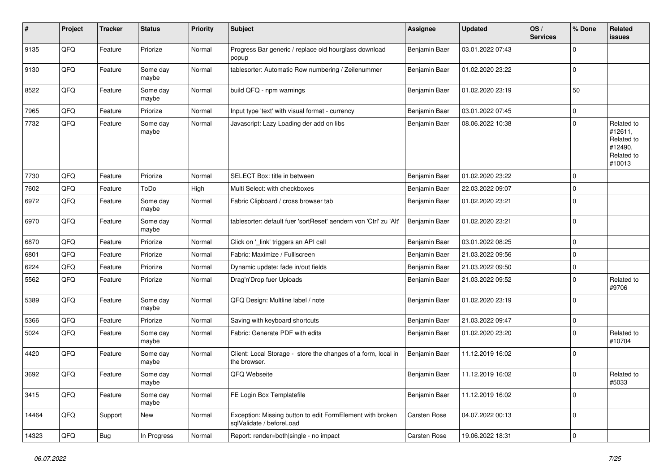| #     | Project | <b>Tracker</b> | <b>Status</b>     | <b>Priority</b> | <b>Subject</b>                                                                        | <b>Assignee</b> | <b>Updated</b>   | OS/<br><b>Services</b> | % Done      | Related<br><b>issues</b>                                               |
|-------|---------|----------------|-------------------|-----------------|---------------------------------------------------------------------------------------|-----------------|------------------|------------------------|-------------|------------------------------------------------------------------------|
| 9135  | QFQ     | Feature        | Priorize          | Normal          | Progress Bar generic / replace old hourglass download<br>popup                        | Benjamin Baer   | 03.01.2022 07:43 |                        | $\mathbf 0$ |                                                                        |
| 9130  | QFQ     | Feature        | Some day<br>maybe | Normal          | tablesorter: Automatic Row numbering / Zeilenummer                                    | Benjamin Baer   | 01.02.2020 23:22 |                        | $\mathbf 0$ |                                                                        |
| 8522  | QFQ     | Feature        | Some day<br>maybe | Normal          | build QFQ - npm warnings                                                              | Benjamin Baer   | 01.02.2020 23:19 |                        | 50          |                                                                        |
| 7965  | QFQ     | Feature        | Priorize          | Normal          | Input type 'text' with visual format - currency                                       | Benjamin Baer   | 03.01.2022 07:45 |                        | $\mathbf 0$ |                                                                        |
| 7732  | QFQ     | Feature        | Some day<br>maybe | Normal          | Javascript: Lazy Loading der add on libs                                              | Benjamin Baer   | 08.06.2022 10:38 |                        | $\mathbf 0$ | Related to<br>#12611,<br>Related to<br>#12490,<br>Related to<br>#10013 |
| 7730  | QFQ     | Feature        | Priorize          | Normal          | SELECT Box: title in between                                                          | Benjamin Baer   | 01.02.2020 23:22 |                        | $\mathbf 0$ |                                                                        |
| 7602  | QFQ     | Feature        | ToDo              | High            | Multi Select: with checkboxes                                                         | Benjamin Baer   | 22.03.2022 09:07 |                        | $\mathbf 0$ |                                                                        |
| 6972  | QFQ     | Feature        | Some day<br>maybe | Normal          | Fabric Clipboard / cross browser tab                                                  | Benjamin Baer   | 01.02.2020 23:21 |                        | $\mathbf 0$ |                                                                        |
| 6970  | QFQ     | Feature        | Some day<br>maybe | Normal          | tablesorter: default fuer 'sortReset' aendern von 'Ctrl' zu 'Alt'                     | Benjamin Baer   | 01.02.2020 23:21 |                        | $\mathbf 0$ |                                                                        |
| 6870  | QFQ     | Feature        | Priorize          | Normal          | Click on '_link' triggers an API call                                                 | Benjamin Baer   | 03.01.2022 08:25 |                        | $\mathbf 0$ |                                                                        |
| 6801  | QFQ     | Feature        | Priorize          | Normal          | Fabric: Maximize / FullIscreen                                                        | Benjamin Baer   | 21.03.2022 09:56 |                        | $\mathbf 0$ |                                                                        |
| 6224  | QFQ     | Feature        | Priorize          | Normal          | Dynamic update: fade in/out fields                                                    | Benjamin Baer   | 21.03.2022 09:50 |                        | $\mathbf 0$ |                                                                        |
| 5562  | QFQ     | Feature        | Priorize          | Normal          | Drag'n'Drop fuer Uploads                                                              | Benjamin Baer   | 21.03.2022 09:52 |                        | $\mathbf 0$ | Related to<br>#9706                                                    |
| 5389  | QFQ     | Feature        | Some day<br>maybe | Normal          | QFQ Design: Multline label / note                                                     | Benjamin Baer   | 01.02.2020 23:19 |                        | $\mathbf 0$ |                                                                        |
| 5366  | QFQ     | Feature        | Priorize          | Normal          | Saving with keyboard shortcuts                                                        | Benjamin Baer   | 21.03.2022 09:47 |                        | $\mathbf 0$ |                                                                        |
| 5024  | QFQ     | Feature        | Some day<br>maybe | Normal          | Fabric: Generate PDF with edits                                                       | Benjamin Baer   | 01.02.2020 23:20 |                        | $\mathbf 0$ | Related to<br>#10704                                                   |
| 4420  | QFQ     | Feature        | Some day<br>maybe | Normal          | Client: Local Storage - store the changes of a form, local in<br>the browser.         | Benjamin Baer   | 11.12.2019 16:02 |                        | $\mathbf 0$ |                                                                        |
| 3692  | QFQ     | Feature        | Some day<br>maybe | Normal          | QFQ Webseite                                                                          | Benjamin Baer   | 11.12.2019 16:02 |                        | $\mathbf 0$ | Related to<br>#5033                                                    |
| 3415  | QFQ     | Feature        | Some day<br>maybe | Normal          | FE Login Box Templatefile                                                             | Benjamin Baer   | 11.12.2019 16:02 |                        | $\mathbf 0$ |                                                                        |
| 14464 | QFQ     | Support        | New               | Normal          | Exception: Missing button to edit FormElement with broken<br>sqlValidate / beforeLoad | Carsten Rose    | 04.07.2022 00:13 |                        | $\mathbf 0$ |                                                                        |
| 14323 | QFQ     | <b>Bug</b>     | In Progress       | Normal          | Report: render=both single - no impact                                                | Carsten Rose    | 19.06.2022 18:31 |                        | $\mathbf 0$ |                                                                        |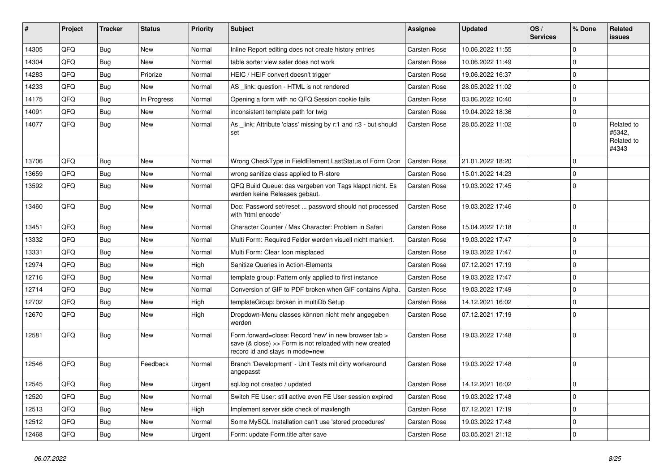| #     | Project | <b>Tracker</b> | <b>Status</b> | <b>Priority</b> | <b>Subject</b>                                                                                                                                                | Assignee            | <b>Updated</b>   | OS/<br><b>Services</b> | % Done      | Related<br>issues                           |
|-------|---------|----------------|---------------|-----------------|---------------------------------------------------------------------------------------------------------------------------------------------------------------|---------------------|------------------|------------------------|-------------|---------------------------------------------|
| 14305 | QFQ     | Bug            | New           | Normal          | Inline Report editing does not create history entries                                                                                                         | <b>Carsten Rose</b> | 10.06.2022 11:55 |                        | $\Omega$    |                                             |
| 14304 | QFQ     | Bug            | New           | Normal          | table sorter view safer does not work                                                                                                                         | Carsten Rose        | 10.06.2022 11:49 |                        | $\Omega$    |                                             |
| 14283 | QFQ     | Bug            | Priorize      | Normal          | HEIC / HEIF convert doesn't trigger                                                                                                                           | <b>Carsten Rose</b> | 19.06.2022 16:37 |                        | l O         |                                             |
| 14233 | QFQ     | Bug            | New           | Normal          | AS link: question - HTML is not rendered                                                                                                                      | <b>Carsten Rose</b> | 28.05.2022 11:02 |                        | I٥          |                                             |
| 14175 | QFQ     | Bug            | In Progress   | Normal          | Opening a form with no QFQ Session cookie fails                                                                                                               | <b>Carsten Rose</b> | 03.06.2022 10:40 |                        | l O         |                                             |
| 14091 | QFQ     | <b>Bug</b>     | New           | Normal          | inconsistent template path for twig                                                                                                                           | <b>Carsten Rose</b> | 19.04.2022 18:36 |                        | l o         |                                             |
| 14077 | QFQ     | Bug            | New           | Normal          | As link: Attribute 'class' missing by r:1 and r:3 - but should<br>set                                                                                         | <b>Carsten Rose</b> | 28.05.2022 11:02 |                        | I٥          | Related to<br>#5342,<br>Related to<br>#4343 |
| 13706 | QFQ     | Bug            | New           | Normal          | Wrong CheckType in FieldElement LastStatus of Form Cron                                                                                                       | Carsten Rose        | 21.01.2022 18:20 |                        | I٥          |                                             |
| 13659 | QFQ     | Bug            | New           | Normal          | wrong sanitize class applied to R-store                                                                                                                       | Carsten Rose        | 15.01.2022 14:23 |                        | $\Omega$    |                                             |
| 13592 | QFQ     | Bug            | New           | Normal          | QFQ Build Queue: das vergeben von Tags klappt nicht. Es<br>werden keine Releases gebaut.                                                                      | Carsten Rose        | 19.03.2022 17:45 |                        | ١o          |                                             |
| 13460 | QFQ     | Bug            | New           | Normal          | Doc: Password set/reset  password should not processed<br>with 'html encode'                                                                                  | Carsten Rose        | 19.03.2022 17:46 |                        | I٥          |                                             |
| 13451 | QFQ     | Bug            | New           | Normal          | Character Counter / Max Character: Problem in Safari                                                                                                          | Carsten Rose        | 15.04.2022 17:18 |                        | l 0         |                                             |
| 13332 | QFQ     | Bug            | New           | Normal          | Multi Form: Required Felder werden visuell nicht markiert.                                                                                                    | <b>Carsten Rose</b> | 19.03.2022 17:47 |                        | l o         |                                             |
| 13331 | QFQ     | Bug            | New           | Normal          | Multi Form: Clear Icon misplaced                                                                                                                              | Carsten Rose        | 19.03.2022 17:47 |                        | l O         |                                             |
| 12974 | QFQ     | Bug            | New           | High            | Sanitize Queries in Action-Elements                                                                                                                           | <b>Carsten Rose</b> | 07.12.2021 17:19 |                        | l O         |                                             |
| 12716 | QFQ     | Bug            | New           | Normal          | template group: Pattern only applied to first instance                                                                                                        | Carsten Rose        | 19.03.2022 17:47 |                        | l o         |                                             |
| 12714 | QFQ     | Bug            | New           | Normal          | Conversion of GIF to PDF broken when GIF contains Alpha.                                                                                                      | <b>Carsten Rose</b> | 19.03.2022 17:49 |                        | l o         |                                             |
| 12702 | QFQ     | <b>Bug</b>     | New           | High            | templateGroup: broken in multiDb Setup                                                                                                                        | Carsten Rose        | 14.12.2021 16:02 |                        | $\mathbf 0$ |                                             |
| 12670 | QFQ     | Bug            | New           | High            | Dropdown-Menu classes können nicht mehr angegeben<br>werden                                                                                                   | Carsten Rose        | 07.12.2021 17:19 |                        | l O         |                                             |
| 12581 | QFQ     | Bug            | New           | Normal          | Form.forward=close: Record 'new' in new browser tab ><br>save $(8 \text{ close}) >>$ Form is not reloaded with new created<br>record id and stays in mode=new | Carsten Rose        | 19.03.2022 17:48 |                        | l O         |                                             |
| 12546 | QFQ     | <b>Bug</b>     | Feedback      | Normal          | Branch 'Development' - Unit Tests mit dirty workaround<br>angepasst                                                                                           | <b>Carsten Rose</b> | 19.03.2022 17:48 |                        | I٥          |                                             |
| 12545 | QFQ     | Bug            | <b>New</b>    | Urgent          | sql.log not created / updated                                                                                                                                 | <b>Carsten Rose</b> | 14.12.2021 16:02 |                        | l O         |                                             |
| 12520 | QFQ     | Bug            | New           | Normal          | Switch FE User: still active even FE User session expired                                                                                                     | <b>Carsten Rose</b> | 19.03.2022 17:48 |                        | $\mathbf 0$ |                                             |
| 12513 | QFQ     | Bug            | New           | High            | Implement server side check of maxlength                                                                                                                      | <b>Carsten Rose</b> | 07.12.2021 17:19 |                        | l O         |                                             |
| 12512 | QFQ     | Bug            | New           | Normal          | Some MySQL Installation can't use 'stored procedures'                                                                                                         | <b>Carsten Rose</b> | 19.03.2022 17:48 |                        | $\mathbf 0$ |                                             |
| 12468 | QFQ     | Bug            | New           | Urgent          | Form: update Form.title after save                                                                                                                            | Carsten Rose        | 03.05.2021 21:12 |                        | l O         |                                             |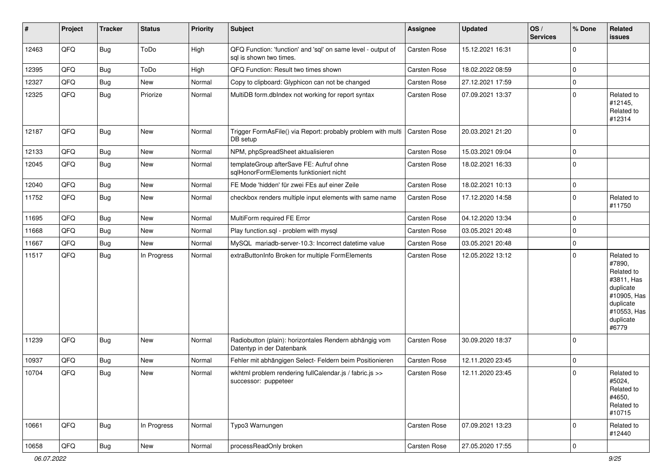| #     | Project | <b>Tracker</b> | <b>Status</b> | <b>Priority</b> | Subject                                                                                 | Assignee            | <b>Updated</b>   | OS/<br><b>Services</b> | % Done      | Related<br>issues                                                                                                              |
|-------|---------|----------------|---------------|-----------------|-----------------------------------------------------------------------------------------|---------------------|------------------|------------------------|-------------|--------------------------------------------------------------------------------------------------------------------------------|
| 12463 | QFQ     | Bug            | ToDo          | High            | QFQ Function: 'function' and 'sql' on same level - output of<br>sql is shown two times. | Carsten Rose        | 15.12.2021 16:31 |                        | $\mathbf 0$ |                                                                                                                                |
| 12395 | QFQ     | Bug            | ToDo          | High            | QFQ Function: Result two times shown                                                    | <b>Carsten Rose</b> | 18.02.2022 08:59 |                        | $\mathbf 0$ |                                                                                                                                |
| 12327 | QFQ     | <b>Bug</b>     | New           | Normal          | Copy to clipboard: Glyphicon can not be changed                                         | Carsten Rose        | 27.12.2021 17:59 |                        | $\mathbf 0$ |                                                                                                                                |
| 12325 | QFQ     | Bug            | Priorize      | Normal          | MultiDB form.dblndex not working for report syntax                                      | Carsten Rose        | 07.09.2021 13:37 |                        | $\mathbf 0$ | Related to<br>#12145,<br>Related to<br>#12314                                                                                  |
| 12187 | QFQ     | Bug            | New           | Normal          | Trigger FormAsFile() via Report: probably problem with multi<br>DB setup                | <b>Carsten Rose</b> | 20.03.2021 21:20 |                        | $\mathbf 0$ |                                                                                                                                |
| 12133 | QFQ     | Bug            | New           | Normal          | NPM, phpSpreadSheet aktualisieren                                                       | Carsten Rose        | 15.03.2021 09:04 |                        | $\mathbf 0$ |                                                                                                                                |
| 12045 | QFQ     | Bug            | New           | Normal          | templateGroup afterSave FE: Aufruf ohne<br>sqlHonorFormElements funktioniert nicht      | <b>Carsten Rose</b> | 18.02.2021 16:33 |                        | $\mathbf 0$ |                                                                                                                                |
| 12040 | QFQ     | Bug            | New           | Normal          | FE Mode 'hidden' für zwei FEs auf einer Zeile                                           | <b>Carsten Rose</b> | 18.02.2021 10:13 |                        | $\mathbf 0$ |                                                                                                                                |
| 11752 | QFQ     | Bug            | New           | Normal          | checkbox renders multiple input elements with same name                                 | Carsten Rose        | 17.12.2020 14:58 |                        | $\mathbf 0$ | Related to<br>#11750                                                                                                           |
| 11695 | QFQ     | Bug            | New           | Normal          | MultiForm required FE Error                                                             | Carsten Rose        | 04.12.2020 13:34 |                        | $\mathbf 0$ |                                                                                                                                |
| 11668 | QFQ     | Bug            | New           | Normal          | Play function.sql - problem with mysql                                                  | <b>Carsten Rose</b> | 03.05.2021 20:48 |                        | $\mathbf 0$ |                                                                                                                                |
| 11667 | QFQ     | Bug            | New           | Normal          | MySQL mariadb-server-10.3: Incorrect datetime value                                     | <b>Carsten Rose</b> | 03.05.2021 20:48 |                        | $\mathbf 0$ |                                                                                                                                |
| 11517 | QFQ     | Bug            | In Progress   | Normal          | extraButtonInfo Broken for multiple FormElements                                        | <b>Carsten Rose</b> | 12.05.2022 13:12 |                        | $\mathbf 0$ | Related to<br>#7890,<br>Related to<br>#3811, Has<br>duplicate<br>#10905, Has<br>duplicate<br>#10553, Has<br>duplicate<br>#6779 |
| 11239 | QFQ     | Bug            | New           | Normal          | Radiobutton (plain): horizontales Rendern abhängig vom<br>Datentyp in der Datenbank     | Carsten Rose        | 30.09.2020 18:37 |                        | $\mathbf 0$ |                                                                                                                                |
| 10937 | QFQ     | Bug            | New           | Normal          | Fehler mit abhängigen Select- Feldern beim Positionieren                                | Carsten Rose        | 12.11.2020 23:45 |                        | $\mathbf 0$ |                                                                                                                                |
| 10704 | QFQ     | Bug            | New           | Normal          | wkhtml problem rendering fullCalendar.js / fabric.js >><br>successor: puppeteen         | <b>Carsten Rose</b> | 12.11.2020 23:45 |                        | $\mathbf 0$ | Related to<br>#5024,<br>Related to<br>#4650,<br>Related to<br>#10715                                                           |
| 10661 | QFQ     | <b>Bug</b>     | In Progress   | Normal          | Typo3 Warnungen                                                                         | Carsten Rose        | 07.09.2021 13:23 |                        | $\mathbf 0$ | Related to<br>#12440                                                                                                           |
| 10658 | QFQ     | Bug            | New           | Normal          | processReadOnly broken                                                                  | Carsten Rose        | 27.05.2020 17:55 |                        | 0           |                                                                                                                                |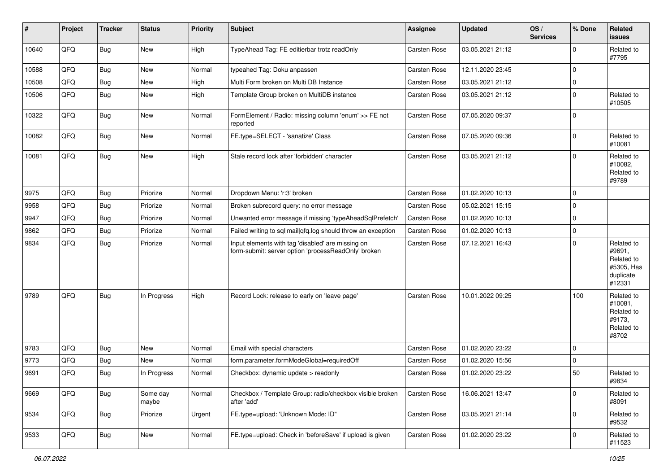| #     | Project | <b>Tracker</b> | <b>Status</b>     | <b>Priority</b> | <b>Subject</b>                                                                                           | Assignee            | <b>Updated</b>   | OS/<br><b>Services</b> | % Done      | Related<br><b>issues</b>                                                |
|-------|---------|----------------|-------------------|-----------------|----------------------------------------------------------------------------------------------------------|---------------------|------------------|------------------------|-------------|-------------------------------------------------------------------------|
| 10640 | QFQ     | Bug            | New               | High            | TypeAhead Tag: FE editierbar trotz readOnly                                                              | Carsten Rose        | 03.05.2021 21:12 |                        | $\mathbf 0$ | Related to<br>#7795                                                     |
| 10588 | QFQ     | Bug            | New               | Normal          | typeahed Tag: Doku anpassen                                                                              | <b>Carsten Rose</b> | 12.11.2020 23:45 |                        | $\mathbf 0$ |                                                                         |
| 10508 | QFQ     | Bug            | New               | High            | Multi Form broken on Multi DB Instance                                                                   | <b>Carsten Rose</b> | 03.05.2021 21:12 |                        | $\mathbf 0$ |                                                                         |
| 10506 | QFQ     | Bug            | New               | High            | Template Group broken on MultiDB instance                                                                | Carsten Rose        | 03.05.2021 21:12 |                        | $\mathbf 0$ | Related to<br>#10505                                                    |
| 10322 | QFQ     | Bug            | New               | Normal          | FormElement / Radio: missing column 'enum' >> FE not<br>reported                                         | <b>Carsten Rose</b> | 07.05.2020 09:37 |                        | $\mathbf 0$ |                                                                         |
| 10082 | QFQ     | Bug            | New               | Normal          | FE.type=SELECT - 'sanatize' Class                                                                        | Carsten Rose        | 07.05.2020 09:36 |                        | $\mathbf 0$ | Related to<br>#10081                                                    |
| 10081 | QFQ     | Bug            | New               | High            | Stale record lock after 'forbidden' character                                                            | <b>Carsten Rose</b> | 03.05.2021 21:12 |                        | $\Omega$    | Related to<br>#10082,<br>Related to<br>#9789                            |
| 9975  | QFQ     | Bug            | Priorize          | Normal          | Dropdown Menu: 'r:3' broken                                                                              | Carsten Rose        | 01.02.2020 10:13 |                        | $\mathbf 0$ |                                                                         |
| 9958  | QFQ     | Bug            | Priorize          | Normal          | Broken subrecord query: no error message                                                                 | <b>Carsten Rose</b> | 05.02.2021 15:15 |                        | $\mathbf 0$ |                                                                         |
| 9947  | QFQ     | Bug            | Priorize          | Normal          | Unwanted error message if missing 'typeAheadSqlPrefetch'                                                 | Carsten Rose        | 01.02.2020 10:13 |                        | $\mathbf 0$ |                                                                         |
| 9862  | QFQ     | Bug            | Priorize          | Normal          | Failed writing to sql mail qfq.log should throw an exception                                             | <b>Carsten Rose</b> | 01.02.2020 10:13 |                        | $\mathbf 0$ |                                                                         |
| 9834  | QFQ     | Bug            | Priorize          | Normal          | Input elements with tag 'disabled' are missing on<br>form-submit: server option 'processReadOnly' broken | <b>Carsten Rose</b> | 07.12.2021 16:43 |                        | $\Omega$    | Related to<br>#9691,<br>Related to<br>#5305, Has<br>duplicate<br>#12331 |
| 9789  | QFQ     | Bug            | In Progress       | High            | Record Lock: release to early on 'leave page'                                                            | <b>Carsten Rose</b> | 10.01.2022 09:25 |                        | 100         | Related to<br>#10081,<br>Related to<br>#9173,<br>Related to<br>#8702    |
| 9783  | QFQ     | Bug            | New               | Normal          | Email with special characters                                                                            | <b>Carsten Rose</b> | 01.02.2020 23:22 |                        | $\mathbf 0$ |                                                                         |
| 9773  | QFQ     | Bug            | New               | Normal          | form.parameter.formModeGlobal=requiredOff                                                                | Carsten Rose        | 01.02.2020 15:56 |                        | $\mathbf 0$ |                                                                         |
| 9691  | QFQ     | Bug            | In Progress       | Normal          | Checkbox: dynamic update > readonly                                                                      | Carsten Rose        | 01.02.2020 23:22 |                        | 50          | Related to<br>#9834                                                     |
| 9669  | QFQ     | Bug            | Some day<br>maybe | Normal          | Checkbox / Template Group: radio/checkbox visible broken<br>after 'add'                                  | Carsten Rose        | 16.06.2021 13:47 |                        | $\mathbf 0$ | Related to<br>#8091                                                     |
| 9534  | QFQ     | Bug            | Priorize          | Urgent          | FE.type=upload: 'Unknown Mode: ID"                                                                       | Carsten Rose        | 03.05.2021 21:14 |                        | $\mathbf 0$ | Related to<br>#9532                                                     |
| 9533  | QFQ     | Bug            | New               | Normal          | FE.type=upload: Check in 'beforeSave' if upload is given                                                 | Carsten Rose        | 01.02.2020 23:22 |                        | $\mathbf 0$ | Related to<br>#11523                                                    |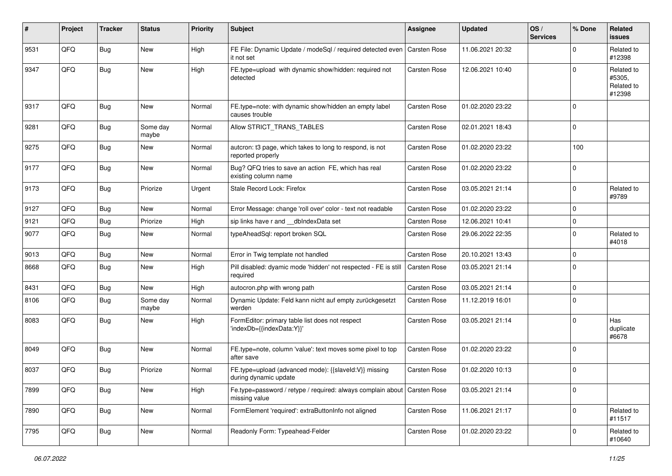| #    | Project | <b>Tracker</b> | <b>Status</b>     | <b>Priority</b> | Subject                                                                                     | <b>Assignee</b>     | <b>Updated</b>   | OS/<br><b>Services</b> | % Done      | Related<br><b>issues</b>                     |
|------|---------|----------------|-------------------|-----------------|---------------------------------------------------------------------------------------------|---------------------|------------------|------------------------|-------------|----------------------------------------------|
| 9531 | QFQ     | Bug            | New               | High            | FE File: Dynamic Update / modeSql / required detected even   Carsten Rose<br>it not set     |                     | 11.06.2021 20:32 |                        | $\Omega$    | Related to<br>#12398                         |
| 9347 | QFQ     | Bug            | New               | High            | FE.type=upload with dynamic show/hidden: required not<br>detected                           | <b>Carsten Rose</b> | 12.06.2021 10:40 |                        | $\mathbf 0$ | Related to<br>#5305,<br>Related to<br>#12398 |
| 9317 | QFQ     | Bug            | New               | Normal          | FE.type=note: with dynamic show/hidden an empty label<br>causes trouble                     | <b>Carsten Rose</b> | 01.02.2020 23:22 |                        | $\Omega$    |                                              |
| 9281 | QFQ     | Bug            | Some day<br>maybe | Normal          | Allow STRICT_TRANS_TABLES                                                                   | <b>Carsten Rose</b> | 02.01.2021 18:43 |                        | 0           |                                              |
| 9275 | QFQ     | Bug            | New               | Normal          | autcron: t3 page, which takes to long to respond, is not<br>reported properly               | Carsten Rose        | 01.02.2020 23:22 |                        | 100         |                                              |
| 9177 | QFQ     | Bug            | New               | Normal          | Bug? QFQ tries to save an action FE, which has real<br>existing column name                 | <b>Carsten Rose</b> | 01.02.2020 23:22 |                        | 0           |                                              |
| 9173 | QFQ     | <b>Bug</b>     | Priorize          | Urgent          | Stale Record Lock: Firefox                                                                  | <b>Carsten Rose</b> | 03.05.2021 21:14 |                        | 0           | Related to<br>#9789                          |
| 9127 | QFQ     | <b>Bug</b>     | New               | Normal          | Error Message: change 'roll over' color - text not readable                                 | Carsten Rose        | 01.02.2020 23:22 |                        | $\mathbf 0$ |                                              |
| 9121 | QFQ     | Bug            | Priorize          | High            | sip links have r and __dbIndexData set                                                      | <b>Carsten Rose</b> | 12.06.2021 10:41 |                        | $\mathbf 0$ |                                              |
| 9077 | QFQ     | Bug            | New               | Normal          | typeAheadSql: report broken SQL                                                             | Carsten Rose        | 29.06.2022 22:35 |                        | $\Omega$    | Related to<br>#4018                          |
| 9013 | QFQ     | Bug            | New               | Normal          | Error in Twig template not handled                                                          | <b>Carsten Rose</b> | 20.10.2021 13:43 |                        | $\mathbf 0$ |                                              |
| 8668 | QFQ     | Bug            | New               | High            | Pill disabled: dyamic mode 'hidden' not respected - FE is still<br>required                 | <b>Carsten Rose</b> | 03.05.2021 21:14 |                        | $\Omega$    |                                              |
| 8431 | QFQ     | Bug            | New               | High            | autocron.php with wrong path                                                                | <b>Carsten Rose</b> | 03.05.2021 21:14 |                        | $\mathbf 0$ |                                              |
| 8106 | QFQ     | <b>Bug</b>     | Some day<br>maybe | Normal          | Dynamic Update: Feld kann nicht auf empty zurückgesetzt<br>werden                           | Carsten Rose        | 11.12.2019 16:01 |                        | 0           |                                              |
| 8083 | QFQ     | Bug            | New               | High            | FormEditor: primary table list does not respect<br>'indexDb={{indexData:Y}}'                | <b>Carsten Rose</b> | 03.05.2021 21:14 |                        | $\Omega$    | Has<br>duplicate<br>#6678                    |
| 8049 | QFG     | <b>Bug</b>     | New               | Normal          | FE.type=note, column 'value': text moves some pixel to top<br>after save                    | Carsten Rose        | 01.02.2020 23:22 |                        | $\Omega$    |                                              |
| 8037 | QFQ     | Bug            | Priorize          | Normal          | FE.type=upload (advanced mode): {{slaveld:V}} missing<br>during dynamic update              | <b>Carsten Rose</b> | 01.02.2020 10:13 |                        | 0           |                                              |
| 7899 | QFQ     | <b>Bug</b>     | New               | High            | Fe.type=password / retype / required: always complain about   Carsten Rose<br>missing value |                     | 03.05.2021 21:14 |                        | 0           |                                              |
| 7890 | QFQ     | <b>Bug</b>     | New               | Normal          | FormElement 'required': extraButtonInfo not aligned                                         | Carsten Rose        | 11.06.2021 21:17 |                        | $\mathbf 0$ | Related to<br>#11517                         |
| 7795 | QFQ     | <b>Bug</b>     | New               | Normal          | Readonly Form: Typeahead-Felder                                                             | <b>Carsten Rose</b> | 01.02.2020 23:22 |                        | $\mathbf 0$ | Related to<br>#10640                         |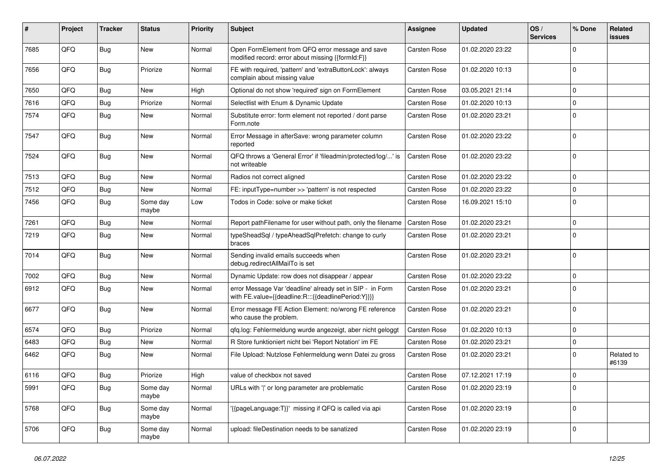| #    | Project | <b>Tracker</b> | <b>Status</b>     | <b>Priority</b> | Subject                                                                                                          | Assignee            | <b>Updated</b>   | OS/<br><b>Services</b> | % Done         | Related<br>issues   |
|------|---------|----------------|-------------------|-----------------|------------------------------------------------------------------------------------------------------------------|---------------------|------------------|------------------------|----------------|---------------------|
| 7685 | QFQ     | Bug            | New               | Normal          | Open FormElement from QFQ error message and save<br>modified record: error about missing {{formId:F}}            | <b>Carsten Rose</b> | 01.02.2020 23:22 |                        | $\Omega$       |                     |
| 7656 | QFQ     | Bug            | Priorize          | Normal          | FE with required, 'pattern' and 'extraButtonLock': always<br>complain about missing value                        | <b>Carsten Rose</b> | 01.02.2020 10:13 |                        | $\Omega$       |                     |
| 7650 | QFQ     | Bug            | New               | High            | Optional do not show 'required' sign on FormElement                                                              | <b>Carsten Rose</b> | 03.05.2021 21:14 |                        | $\mathbf 0$    |                     |
| 7616 | QFQ     | Bug            | Priorize          | Normal          | Selectlist with Enum & Dynamic Update                                                                            | Carsten Rose        | 01.02.2020 10:13 |                        | $\overline{0}$ |                     |
| 7574 | QFQ     | <b>Bug</b>     | New               | Normal          | Substitute error: form element not reported / dont parse<br>Form.note                                            | Carsten Rose        | 01.02.2020 23:21 |                        | $\Omega$       |                     |
| 7547 | QFQ     | Bug            | New               | Normal          | Error Message in afterSave: wrong parameter column<br>reported                                                   | Carsten Rose        | 01.02.2020 23:22 |                        | 0              |                     |
| 7524 | QFQ     | Bug            | New               | Normal          | QFQ throws a 'General Error' if 'fileadmin/protected/log/' is<br>not writeable                                   | Carsten Rose        | 01.02.2020 23:22 |                        | $\Omega$       |                     |
| 7513 | QFQ     | Bug            | New               | Normal          | Radios not correct aligned                                                                                       | <b>Carsten Rose</b> | 01.02.2020 23:22 |                        | $\mathbf 0$    |                     |
| 7512 | QFQ     | Bug            | New               | Normal          | FE: inputType=number >> 'pattern' is not respected                                                               | <b>Carsten Rose</b> | 01.02.2020 23:22 |                        | $\mathbf 0$    |                     |
| 7456 | QFQ     | Bug            | Some day<br>maybe | Low             | Todos in Code: solve or make ticket                                                                              | Carsten Rose        | 16.09.2021 15:10 |                        | 0 I            |                     |
| 7261 | QFQ     | Bug            | New               | Normal          | Report pathFilename for user without path, only the filename                                                     | <b>Carsten Rose</b> | 01.02.2020 23:21 |                        | 0              |                     |
| 7219 | QFQ     | Bug            | New               | Normal          | typeSheadSql / typeAheadSqlPrefetch: change to curly<br>braces                                                   | <b>Carsten Rose</b> | 01.02.2020 23:21 |                        | $\Omega$       |                     |
| 7014 | QFQ     | Bug            | New               | Normal          | Sending invalid emails succeeds when<br>debug.redirectAllMailTo is set                                           | <b>Carsten Rose</b> | 01.02.2020 23:21 |                        | $\overline{0}$ |                     |
| 7002 | QFQ     | Bug            | New               | Normal          | Dynamic Update: row does not disappear / appear                                                                  | <b>Carsten Rose</b> | 01.02.2020 23:22 |                        | $\Omega$       |                     |
| 6912 | QFQ     | Bug            | New               | Normal          | error Message Var 'deadline' already set in SIP - in Form<br>with FE.value={{deadline:R:::{{deadlinePeriod:Y}}}} | <b>Carsten Rose</b> | 01.02.2020 23:21 |                        | 0 I            |                     |
| 6677 | QFQ     | Bug            | New               | Normal          | Error message FE Action Element: no/wrong FE reference<br>who cause the problem.                                 | <b>Carsten Rose</b> | 01.02.2020 23:21 |                        | $\mathbf 0$    |                     |
| 6574 | QFQ     | Bug            | Priorize          | Normal          | gfg.log: Fehlermeldung wurde angezeigt, aber nicht geloggt                                                       | <b>Carsten Rose</b> | 01.02.2020 10:13 |                        | $\Omega$       |                     |
| 6483 | QFQ     | Bug            | New               | Normal          | R Store funktioniert nicht bei 'Report Notation' im FE                                                           | Carsten Rose        | 01.02.2020 23:21 |                        | $\Omega$       |                     |
| 6462 | QFQ     | Bug            | New               | Normal          | File Upload: Nutzlose Fehlermeldung wenn Datei zu gross                                                          | <b>Carsten Rose</b> | 01.02.2020 23:21 |                        | $\Omega$       | Related to<br>#6139 |
| 6116 | QFQ     | Bug            | Priorize          | High            | value of checkbox not saved                                                                                      | <b>Carsten Rose</b> | 07.12.2021 17:19 |                        | 0 I            |                     |
| 5991 | QFQ     | Bug            | Some day<br>maybe | Normal          | URLs with ' ' or long parameter are problematic                                                                  | Carsten Rose        | 01.02.2020 23:19 |                        | 0              |                     |
| 5768 | QFQ     | Bug            | Some day<br>maybe | Normal          | {{pageLanguage:T}}' missing if QFQ is called via api                                                             | Carsten Rose        | 01.02.2020 23:19 |                        | 0              |                     |
| 5706 | QFQ     | Bug            | Some day<br>maybe | Normal          | upload: fileDestination needs to be sanatized                                                                    | Carsten Rose        | 01.02.2020 23:19 |                        | 0              |                     |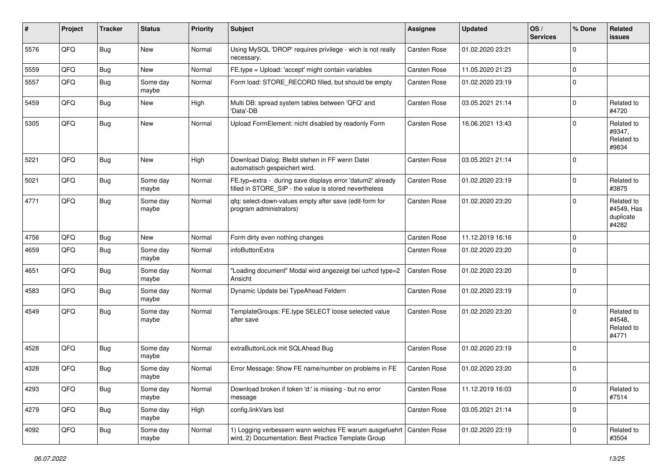| $\sharp$ | Project | <b>Tracker</b> | <b>Status</b>     | <b>Priority</b> | Subject                                                                                                                        | Assignee            | <b>Updated</b>   | OS/<br><b>Services</b> | % Done      | Related<br><b>issues</b>                       |
|----------|---------|----------------|-------------------|-----------------|--------------------------------------------------------------------------------------------------------------------------------|---------------------|------------------|------------------------|-------------|------------------------------------------------|
| 5576     | QFQ     | <b>Bug</b>     | New               | Normal          | Using MySQL 'DROP' requires privilege - wich is not really<br>necessary.                                                       | <b>Carsten Rose</b> | 01.02.2020 23:21 |                        | 0           |                                                |
| 5559     | QFQ     | <b>Bug</b>     | New               | Normal          | FE.type = Upload: 'accept' might contain variables                                                                             | Carsten Rose        | 11.05.2020 21:23 |                        | 0           |                                                |
| 5557     | QFQ     | <b>Bug</b>     | Some day<br>maybe | Normal          | Form load: STORE_RECORD filled, but should be empty                                                                            | Carsten Rose        | 01.02.2020 23:19 |                        | 0           |                                                |
| 5459     | QFQ     | <b>Bug</b>     | New               | High            | Multi DB: spread system tables between 'QFQ' and<br>'Data'-DB                                                                  | Carsten Rose        | 03.05.2021 21:14 |                        | 0           | Related to<br>#4720                            |
| 5305     | QFQ     | <b>Bug</b>     | New               | Normal          | Upload FormElement: nicht disabled by readonly Form                                                                            | Carsten Rose        | 16.06.2021 13:43 |                        | 0           | Related to<br>#9347,<br>Related to<br>#9834    |
| 5221     | QFQ     | <b>Bug</b>     | New               | High            | Download Dialog: Bleibt stehen in FF wenn Datei<br>automatisch gespeichert wird.                                               | Carsten Rose        | 03.05.2021 21:14 |                        | 0           |                                                |
| 5021     | QFQ     | <b>Bug</b>     | Some day<br>maybe | Normal          | FE.typ=extra - during save displays error 'datum2' already<br>filled in STORE SIP - the value is stored nevertheless           | Carsten Rose        | 01.02.2020 23:19 |                        | 0           | Related to<br>#3875                            |
| 4771     | QFQ     | Bug            | Some day<br>maybe | Normal          | gfg: select-down-values empty after save (edit-form for<br>program administrators)                                             | Carsten Rose        | 01.02.2020 23:20 |                        | $\mathbf 0$ | Related to<br>#4549, Has<br>duplicate<br>#4282 |
| 4756     | QFQ     | <b>Bug</b>     | New               | Normal          | Form dirty even nothing changes                                                                                                | Carsten Rose        | 11.12.2019 16:16 |                        | 0           |                                                |
| 4659     | QFQ     | <b>Bug</b>     | Some day<br>maybe | Normal          | infoButtonExtra                                                                                                                | Carsten Rose        | 01.02.2020 23:20 |                        | 0           |                                                |
| 4651     | QFQ     | <b>Bug</b>     | Some day<br>maybe | Normal          | 'Loading document" Modal wird angezeigt bei uzhcd type=2<br>Ansicht                                                            | <b>Carsten Rose</b> | 01.02.2020 23:20 |                        | 0           |                                                |
| 4583     | QFQ     | <b>Bug</b>     | Some day<br>maybe | Normal          | Dynamic Update bei TypeAhead Feldern                                                                                           | <b>Carsten Rose</b> | 01.02.2020 23:19 |                        | 0           |                                                |
| 4549     | QFQ     | Bug            | Some day<br>maybe | Normal          | TemplateGroups: FE.type SELECT loose selected value<br>after save                                                              | Carsten Rose        | 01.02.2020 23:20 |                        | 0           | Related to<br>#4548,<br>Related to<br>#4771    |
| 4528     | QFQ     | <b>Bug</b>     | Some day<br>maybe | Normal          | extraButtonLock mit SQLAhead Bug                                                                                               | Carsten Rose        | 01.02.2020 23:19 |                        | 0           |                                                |
| 4328     | QFQ     | Bug            | Some day<br>maybe | Normal          | Error Message: Show FE name/number on problems in FE                                                                           | Carsten Rose        | 01.02.2020 23:20 |                        | 0           |                                                |
| 4293     | QFQ     | <b>Bug</b>     | Some day<br>maybe | Normal          | Download broken if token 'd:' is missing - but no error<br>message                                                             | Carsten Rose        | 11.12.2019 16:03 |                        | 0           | Related to<br>#7514                            |
| 4279     | QFQ     | <b>Bug</b>     | Some day<br>maybe | High            | config.linkVars lost                                                                                                           | Carsten Rose        | 03.05.2021 21:14 |                        | 0           |                                                |
| 4092     | QFQ     | <b>Bug</b>     | Some day<br>maybe | Normal          | 1) Logging verbessern wann welches FE warum ausgefuehrt   Carsten Rose<br>wird, 2) Documentation: Best Practice Template Group |                     | 01.02.2020 23:19 |                        | 0           | Related to<br>#3504                            |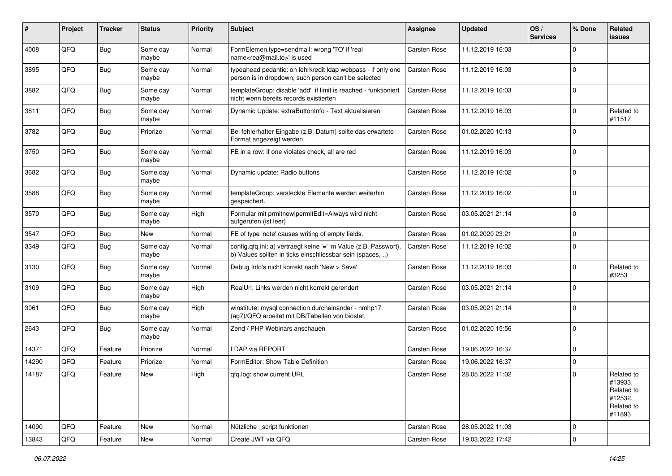| #     | Project | <b>Tracker</b> | <b>Status</b>     | <b>Priority</b> | Subject                                                                                                                       | <b>Assignee</b>     | <b>Updated</b>   | OS/<br><b>Services</b> | % Done      | Related<br>issues                                                      |
|-------|---------|----------------|-------------------|-----------------|-------------------------------------------------------------------------------------------------------------------------------|---------------------|------------------|------------------------|-------------|------------------------------------------------------------------------|
| 4008  | QFQ     | <b>Bug</b>     | Some day<br>maybe | Normal          | FormElemen.type=sendmail: wrong 'TO' if 'real<br>name <rea@mail.to>' is used</rea@mail.to>                                    | Carsten Rose        | 11.12.2019 16:03 |                        | $\Omega$    |                                                                        |
| 3895  | QFQ     | Bug            | Some day<br>maybe | Normal          | typeahead pedantic: on lehrkredit Idap webpass - if only one<br>person is in dropdown, such person can't be selected          | <b>Carsten Rose</b> | 11.12.2019 16:03 |                        | $\Omega$    |                                                                        |
| 3882  | QFQ     | <b>Bug</b>     | Some day<br>maybe | Normal          | templateGroup: disable 'add' if limit is reached - funktioniert<br>nicht wenn bereits records existierten                     | <b>Carsten Rose</b> | 11.12.2019 16:03 |                        | $\Omega$    |                                                                        |
| 3811  | QFQ     | <b>Bug</b>     | Some day<br>maybe | Normal          | Dynamic Update: extraButtonInfo - Text aktualisieren                                                                          | Carsten Rose        | 11.12.2019 16:03 |                        | $\Omega$    | Related to<br>#11517                                                   |
| 3782  | QFQ     | <b>Bug</b>     | Priorize          | Normal          | Bei fehlerhafter Eingabe (z.B. Datum) sollte das erwartete<br>Format angezeigt werden                                         | <b>Carsten Rose</b> | 01.02.2020 10:13 |                        | $\Omega$    |                                                                        |
| 3750  | QFQ     | Bug            | Some day<br>maybe | Normal          | FE in a row: if one violates check, all are red                                                                               | Carsten Rose        | 11.12.2019 16:03 |                        | $\Omega$    |                                                                        |
| 3682  | QFQ     | <b>Bug</b>     | Some day<br>maybe | Normal          | Dynamic update: Radio buttons                                                                                                 | Carsten Rose        | 11.12.2019 16:02 |                        | $\Omega$    |                                                                        |
| 3588  | QFQ     | <b>Bug</b>     | Some day<br>maybe | Normal          | templateGroup: versteckte Elemente werden weiterhin<br>gespeichert.                                                           | Carsten Rose        | 11.12.2019 16:02 |                        | 0           |                                                                        |
| 3570  | QFQ     | Bug            | Some day<br>maybe | High            | Formular mit prmitnew permitEdit=Always wird nicht<br>aufgerufen (ist leer)                                                   | Carsten Rose        | 03.05.2021 21:14 |                        | 0           |                                                                        |
| 3547  | QFQ     | <b>Bug</b>     | New               | Normal          | FE of type 'note' causes writing of empty fields.                                                                             | Carsten Rose        | 01.02.2020 23:21 |                        | $\Omega$    |                                                                        |
| 3349  | QFQ     | Bug            | Some day<br>maybe | Normal          | config.qfq.ini: a) vertraegt keine '=' im Value (z.B. Passwort),<br>b) Values sollten in ticks einschliessbar sein (spaces, ) | Carsten Rose        | 11.12.2019 16:02 |                        | $\Omega$    |                                                                        |
| 3130  | QFQ     | Bug            | Some day<br>maybe | Normal          | Debug Info's nicht korrekt nach 'New > Save'.                                                                                 | Carsten Rose        | 11.12.2019 16:03 |                        | $\Omega$    | Related to<br>#3253                                                    |
| 3109  | QFQ     | <b>Bug</b>     | Some day<br>maybe | High            | RealUrl: Links werden nicht korrekt gerendert                                                                                 | Carsten Rose        | 03.05.2021 21:14 |                        | $\mathbf 0$ |                                                                        |
| 3061  | QFQ     | <b>Bug</b>     | Some day<br>maybe | High            | winstitute: mysql connection durcheinander - nmhp17<br>(ag7)/QFQ arbeitet mit DB/Tabellen von biostat.                        | Carsten Rose        | 03.05.2021 21:14 |                        | 0           |                                                                        |
| 2643  | QFQ     | <b>Bug</b>     | Some day<br>maybe | Normal          | Zend / PHP Webinars anschauen                                                                                                 | Carsten Rose        | 01.02.2020 15:56 |                        | 0           |                                                                        |
| 14371 | QFQ     | Feature        | Priorize          | Normal          | LDAP via REPORT                                                                                                               | Carsten Rose        | 19.06.2022 16:37 |                        | $\Omega$    |                                                                        |
| 14290 | QFQ     | Feature        | Priorize          | Normal          | FormEditor: Show Table Definition                                                                                             | Carsten Rose        | 19.06.2022 16:37 |                        | $\mathbf 0$ |                                                                        |
| 14187 | QFQ     | Feature        | New               | High            | qfq.log: show current URL                                                                                                     | Carsten Rose        | 28.05.2022 11:02 |                        | $\mathbf 0$ | Related to<br>#13933,<br>Related to<br>#12532,<br>Related to<br>#11893 |
| 14090 | QFQ     | Feature        | New               | Normal          | Nützliche _script funktionen                                                                                                  | Carsten Rose        | 28.05.2022 11:03 |                        | 0           |                                                                        |
| 13843 | QFQ     | Feature        | New               | Normal          | Create JWT via QFQ                                                                                                            | Carsten Rose        | 19.03.2022 17:42 |                        | $\Omega$    |                                                                        |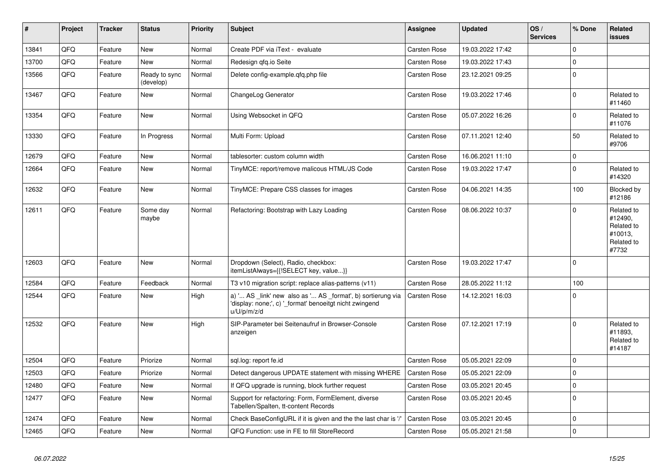| ∥ #   | Project | <b>Tracker</b> | <b>Status</b>              | <b>Priority</b> | <b>Subject</b>                                                                                                                        | Assignee            | <b>Updated</b>   | OS/<br><b>Services</b> | % Done      | Related<br>issues                                                     |
|-------|---------|----------------|----------------------------|-----------------|---------------------------------------------------------------------------------------------------------------------------------------|---------------------|------------------|------------------------|-------------|-----------------------------------------------------------------------|
| 13841 | QFQ     | Feature        | <b>New</b>                 | Normal          | Create PDF via iText - evaluate                                                                                                       | Carsten Rose        | 19.03.2022 17:42 |                        | $\Omega$    |                                                                       |
| 13700 | QFQ     | Feature        | New                        | Normal          | Redesign gfg.io Seite                                                                                                                 | Carsten Rose        | 19.03.2022 17:43 |                        | $\mathbf 0$ |                                                                       |
| 13566 | QFQ     | Feature        | Ready to sync<br>(develop) | Normal          | Delete config-example.gfg.php file                                                                                                    | Carsten Rose        | 23.12.2021 09:25 |                        | $\mathbf 0$ |                                                                       |
| 13467 | QFQ     | Feature        | New                        | Normal          | ChangeLog Generator                                                                                                                   | Carsten Rose        | 19.03.2022 17:46 |                        | $\Omega$    | Related to<br>#11460                                                  |
| 13354 | QFQ     | Feature        | <b>New</b>                 | Normal          | Using Websocket in QFQ                                                                                                                | Carsten Rose        | 05.07.2022 16:26 |                        | $\mathbf 0$ | Related to<br>#11076                                                  |
| 13330 | QFQ     | Feature        | In Progress                | Normal          | Multi Form: Upload                                                                                                                    | Carsten Rose        | 07.11.2021 12:40 |                        | 50          | Related to<br>#9706                                                   |
| 12679 | QFQ     | Feature        | <b>New</b>                 | Normal          | tablesorter: custom column width                                                                                                      | Carsten Rose        | 16.06.2021 11:10 |                        | $\mathbf 0$ |                                                                       |
| 12664 | QFQ     | Feature        | <b>New</b>                 | Normal          | TinyMCE: report/remove malicous HTML/JS Code                                                                                          | Carsten Rose        | 19.03.2022 17:47 |                        | $\mathbf 0$ | Related to<br>#14320                                                  |
| 12632 | QFQ     | Feature        | New                        | Normal          | TinyMCE: Prepare CSS classes for images                                                                                               | Carsten Rose        | 04.06.2021 14:35 |                        | 100         | Blocked by<br>#12186                                                  |
| 12611 | QFQ     | Feature        | Some day<br>maybe          | Normal          | Refactoring: Bootstrap with Lazy Loading                                                                                              | <b>Carsten Rose</b> | 08.06.2022 10:37 |                        | $\mathbf 0$ | Related to<br>#12490,<br>Related to<br>#10013,<br>Related to<br>#7732 |
| 12603 | QFQ     | Feature        | New                        | Normal          | Dropdown (Select), Radio, checkbox:<br>itemListAlways={{!SELECT key, value}}                                                          | <b>Carsten Rose</b> | 19.03.2022 17:47 |                        | $\mathbf 0$ |                                                                       |
| 12584 | QFQ     | Feature        | Feedback                   | Normal          | T3 v10 migration script: replace alias-patterns (v11)                                                                                 | Carsten Rose        | 28.05.2022 11:12 |                        | 100         |                                                                       |
| 12544 | QFQ     | Feature        | <b>New</b>                 | High            | a) ' AS _link' new also as ' AS _format', b) sortierung via<br>'display: none;', c) '_format' benoeitgt nicht zwingend<br>u/U/p/m/z/d | Carsten Rose        | 14.12.2021 16:03 |                        | $\mathbf 0$ |                                                                       |
| 12532 | QFQ     | Feature        | <b>New</b>                 | High            | SIP-Parameter bei Seitenaufruf in Browser-Console<br>anzeigen                                                                         | <b>Carsten Rose</b> | 07.12.2021 17:19 |                        | $\mathbf 0$ | Related to<br>#11893,<br>Related to<br>#14187                         |
| 12504 | QFQ     | Feature        | Priorize                   | Normal          | sgl.log: report fe.id                                                                                                                 | <b>Carsten Rose</b> | 05.05.2021 22:09 |                        | $\Omega$    |                                                                       |
| 12503 | QFQ     | Feature        | Priorize                   | Normal          | Detect dangerous UPDATE statement with missing WHERE                                                                                  | <b>Carsten Rose</b> | 05.05.2021 22:09 |                        | $\mathbf 0$ |                                                                       |
| 12480 | QFQ     | Feature        | <b>New</b>                 | Normal          | If QFQ upgrade is running, block further request                                                                                      | <b>Carsten Rose</b> | 03.05.2021 20:45 |                        | $\pmb{0}$   |                                                                       |
| 12477 | QFQ     | Feature        | <b>New</b>                 | Normal          | Support for refactoring: Form, FormElement, diverse<br>Tabellen/Spalten, tt-content Records                                           | Carsten Rose        | 03.05.2021 20:45 |                        | $\mathbf 0$ |                                                                       |
| 12474 | QFQ     | Feature        | <b>New</b>                 | Normal          | Check BaseConfigURL if it is given and the the last char is '/                                                                        | <b>Carsten Rose</b> | 03.05.2021 20:45 |                        | $\Omega$    |                                                                       |
| 12465 | QFQ     | Feature        | New                        | Normal          | QFQ Function: use in FE to fill StoreRecord                                                                                           | Carsten Rose        | 05.05.2021 21:58 |                        | $\mathbf 0$ |                                                                       |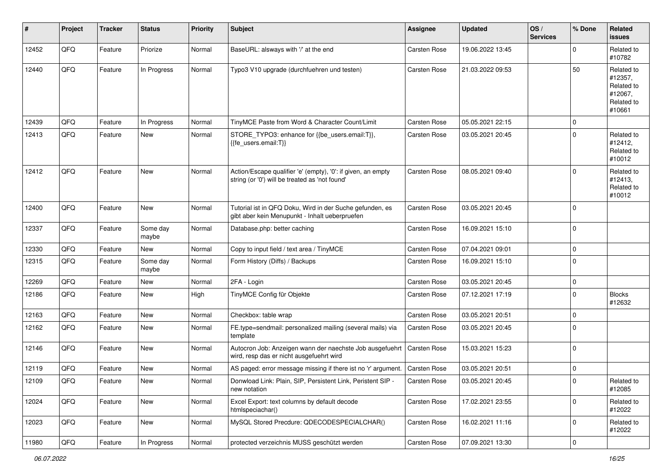| #     | Project | <b>Tracker</b> | <b>Status</b>     | <b>Priority</b> | <b>Subject</b>                                                                                                 | <b>Assignee</b>     | <b>Updated</b>   | OS/<br><b>Services</b> | % Done      | <b>Related</b><br>issues                                               |
|-------|---------|----------------|-------------------|-----------------|----------------------------------------------------------------------------------------------------------------|---------------------|------------------|------------------------|-------------|------------------------------------------------------------------------|
| 12452 | QFQ     | Feature        | Priorize          | Normal          | BaseURL: alsways with '/' at the end                                                                           | <b>Carsten Rose</b> | 19.06.2022 13:45 |                        | $\Omega$    | Related to<br>#10782                                                   |
| 12440 | QFQ     | Feature        | In Progress       | Normal          | Typo3 V10 upgrade (durchfuehren und testen)                                                                    | Carsten Rose        | 21.03.2022 09:53 |                        | 50          | Related to<br>#12357,<br>Related to<br>#12067,<br>Related to<br>#10661 |
| 12439 | QFQ     | Feature        | In Progress       | Normal          | TinyMCE Paste from Word & Character Count/Limit                                                                | Carsten Rose        | 05.05.2021 22:15 |                        | $\mathbf 0$ |                                                                        |
| 12413 | QFQ     | Feature        | New               | Normal          | STORE_TYPO3: enhance for {{be_users.email:T}},<br>{{fe_users.email:T}}                                         | Carsten Rose        | 03.05.2021 20:45 |                        | $\mathbf 0$ | Related to<br>#12412,<br>Related to<br>#10012                          |
| 12412 | QFQ     | Feature        | <b>New</b>        | Normal          | Action/Escape qualifier 'e' (empty), '0': if given, an empty<br>string (or '0') will be treated as 'not found' | Carsten Rose        | 08.05.2021 09:40 |                        | $\Omega$    | Related to<br>#12413,<br>Related to<br>#10012                          |
| 12400 | QFQ     | Feature        | New               | Normal          | Tutorial ist in QFQ Doku, Wird in der Suche gefunden, es<br>gibt aber kein Menupunkt - Inhalt ueberpruefen     | Carsten Rose        | 03.05.2021 20:45 |                        | $\mathbf 0$ |                                                                        |
| 12337 | QFQ     | Feature        | Some day<br>maybe | Normal          | Database.php: better caching                                                                                   | Carsten Rose        | 16.09.2021 15:10 |                        | $\mathbf 0$ |                                                                        |
| 12330 | QFQ     | Feature        | New               | Normal          | Copy to input field / text area / TinyMCE                                                                      | Carsten Rose        | 07.04.2021 09:01 |                        | $\mathbf 0$ |                                                                        |
| 12315 | QFQ     | Feature        | Some day<br>maybe | Normal          | Form History (Diffs) / Backups                                                                                 | Carsten Rose        | 16.09.2021 15:10 |                        | $\mathbf 0$ |                                                                        |
| 12269 | QFQ     | Feature        | New               | Normal          | 2FA - Login                                                                                                    | <b>Carsten Rose</b> | 03.05.2021 20:45 |                        | $\mathbf 0$ |                                                                        |
| 12186 | QFQ     | Feature        | New               | High            | TinyMCE Config für Objekte                                                                                     | Carsten Rose        | 07.12.2021 17:19 |                        | $\mathbf 0$ | <b>Blocks</b><br>#12632                                                |
| 12163 | QFQ     | Feature        | <b>New</b>        | Normal          | Checkbox: table wrap                                                                                           | Carsten Rose        | 03.05.2021 20:51 |                        | $\mathbf 0$ |                                                                        |
| 12162 | QFQ     | Feature        | New               | Normal          | FE.type=sendmail: personalized mailing (several mails) via<br>template                                         | <b>Carsten Rose</b> | 03.05.2021 20:45 |                        | $\mathbf 0$ |                                                                        |
| 12146 | QFQ     | Feature        | New               | Normal          | Autocron Job: Anzeigen wann der naechste Job ausgefuehrt<br>wird, resp das er nicht ausgefuehrt wird           | <b>Carsten Rose</b> | 15.03.2021 15:23 |                        | $\mathbf 0$ |                                                                        |
| 12119 | QFQ     | Feature        | New               | Normal          | AS paged: error message missing if there ist no 'r' argument.                                                  | <b>Carsten Rose</b> | 03.05.2021 20:51 |                        | $\mathbf 0$ |                                                                        |
| 12109 | QFQ     | Feature        | New               | Normal          | Donwload Link: Plain, SIP, Persistent Link, Peristent SIP -<br>new notation                                    | Carsten Rose        | 03.05.2021 20:45 |                        | 0           | Related to<br>#12085                                                   |
| 12024 | QFQ     | Feature        | New               | Normal          | Excel Export: text columns by default decode<br>htmlspeciachar()                                               | Carsten Rose        | 17.02.2021 23:55 |                        | $\mathbf 0$ | Related to<br>#12022                                                   |
| 12023 | QFQ     | Feature        | New               | Normal          | MySQL Stored Precdure: QDECODESPECIALCHAR()                                                                    | Carsten Rose        | 16.02.2021 11:16 |                        | $\mathbf 0$ | Related to<br>#12022                                                   |
| 11980 | QFQ     | Feature        | In Progress       | Normal          | protected verzeichnis MUSS geschützt werden                                                                    | Carsten Rose        | 07.09.2021 13:30 |                        | $\pmb{0}$   |                                                                        |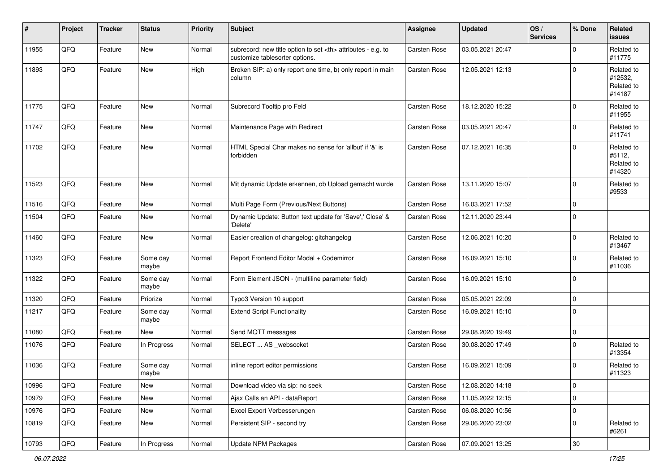| #     | Project | <b>Tracker</b> | <b>Status</b>     | <b>Priority</b> | <b>Subject</b>                                                                                       | <b>Assignee</b>                                        | <b>Updated</b>   | OS/<br><b>Services</b> | % Done      | Related<br>issues                             |                      |
|-------|---------|----------------|-------------------|-----------------|------------------------------------------------------------------------------------------------------|--------------------------------------------------------|------------------|------------------------|-------------|-----------------------------------------------|----------------------|
| 11955 | QFQ     | Feature        | <b>New</b>        | Normal          | subrecord: new title option to set <th> attributes - e.g. to<br/>customize tablesorter options.</th> | attributes - e.g. to<br>customize tablesorter options. | Carsten Rose     | 03.05.2021 20:47       |             | $\mathbf 0$                                   | Related to<br>#11775 |
| 11893 | QFQ     | Feature        | New               | High            | Broken SIP: a) only report one time, b) only report in main<br>column                                | Carsten Rose                                           | 12.05.2021 12:13 |                        | $\mathbf 0$ | Related to<br>#12532,<br>Related to<br>#14187 |                      |
| 11775 | QFQ     | Feature        | <b>New</b>        | Normal          | Subrecord Tooltip pro Feld                                                                           | Carsten Rose                                           | 18.12.2020 15:22 |                        | $\mathbf 0$ | Related to<br>#11955                          |                      |
| 11747 | QFQ     | Feature        | <b>New</b>        | Normal          | Maintenance Page with Redirect                                                                       | Carsten Rose                                           | 03.05.2021 20:47 |                        | $\mathbf 0$ | Related to<br>#11741                          |                      |
| 11702 | QFQ     | Feature        | <b>New</b>        | Normal          | HTML Special Char makes no sense for 'allbut' if '&' is<br>forbidden                                 | Carsten Rose                                           | 07.12.2021 16:35 |                        | $\mathbf 0$ | Related to<br>#5112,<br>Related to<br>#14320  |                      |
| 11523 | QFQ     | Feature        | <b>New</b>        | Normal          | Mit dynamic Update erkennen, ob Upload gemacht wurde                                                 | Carsten Rose                                           | 13.11.2020 15:07 |                        | $\mathbf 0$ | Related to<br>#9533                           |                      |
| 11516 | QFQ     | Feature        | <b>New</b>        | Normal          | Multi Page Form (Previous/Next Buttons)                                                              | Carsten Rose                                           | 16.03.2021 17:52 |                        | $\mathbf 0$ |                                               |                      |
| 11504 | QFQ     | Feature        | <b>New</b>        | Normal          | Dynamic Update: Button text update for 'Save',' Close' &<br>'Delete'                                 | Carsten Rose                                           | 12.11.2020 23:44 |                        | $\Omega$    |                                               |                      |
| 11460 | QFQ     | Feature        | <b>New</b>        | Normal          | Easier creation of changelog: gitchangelog                                                           | Carsten Rose                                           | 12.06.2021 10:20 |                        | $\mathbf 0$ | Related to<br>#13467                          |                      |
| 11323 | QFQ     | Feature        | Some day<br>maybe | Normal          | Report Frontend Editor Modal + Codemirror                                                            | Carsten Rose                                           | 16.09.2021 15:10 |                        | $\Omega$    | Related to<br>#11036                          |                      |
| 11322 | QFQ     | Feature        | Some day<br>maybe | Normal          | Form Element JSON - (multiline parameter field)                                                      | Carsten Rose                                           | 16.09.2021 15:10 |                        | $\mathbf 0$ |                                               |                      |
| 11320 | QFQ     | Feature        | Priorize          | Normal          | Typo3 Version 10 support                                                                             | Carsten Rose                                           | 05.05.2021 22:09 |                        | $\mathbf 0$ |                                               |                      |
| 11217 | QFQ     | Feature        | Some day<br>maybe | Normal          | <b>Extend Script Functionality</b>                                                                   | Carsten Rose                                           | 16.09.2021 15:10 |                        | $\mathbf 0$ |                                               |                      |
| 11080 | QFQ     | Feature        | New               | Normal          | Send MQTT messages                                                                                   | Carsten Rose                                           | 29.08.2020 19:49 |                        | $\mathbf 0$ |                                               |                      |
| 11076 | QFQ     | Feature        | In Progress       | Normal          | SELECT  AS _websocket                                                                                | Carsten Rose                                           | 30.08.2020 17:49 |                        | $\mathbf 0$ | Related to<br>#13354                          |                      |
| 11036 | QFQ     | Feature        | Some day<br>maybe | Normal          | inline report editor permissions                                                                     | Carsten Rose                                           | 16.09.2021 15:09 |                        | 0           | Related to<br>#11323                          |                      |
| 10996 | QFQ     | Feature        | New               | Normal          | Download video via sip: no seek                                                                      | Carsten Rose                                           | 12.08.2020 14:18 |                        | $\pmb{0}$   |                                               |                      |
| 10979 | QFQ     | Feature        | New               | Normal          | Ajax Calls an API - dataReport                                                                       | Carsten Rose                                           | 11.05.2022 12:15 |                        | $\mathbf 0$ |                                               |                      |
| 10976 | QFQ     | Feature        | New               | Normal          | Excel Export Verbesserungen                                                                          | Carsten Rose                                           | 06.08.2020 10:56 |                        | $\pmb{0}$   |                                               |                      |
| 10819 | QFQ     | Feature        | New               | Normal          | Persistent SIP - second try                                                                          | Carsten Rose                                           | 29.06.2020 23:02 |                        | $\mathbf 0$ | Related to<br>#6261                           |                      |
| 10793 | QFQ     | Feature        | In Progress       | Normal          | Update NPM Packages                                                                                  | Carsten Rose                                           | 07.09.2021 13:25 |                        | $30\,$      |                                               |                      |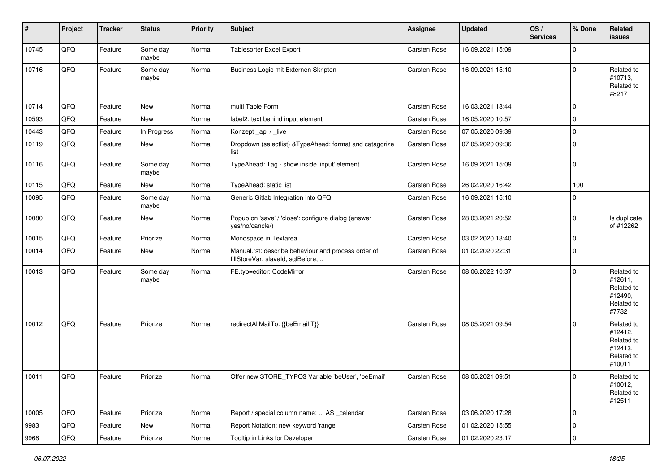| #     | Project | <b>Tracker</b> | <b>Status</b>     | <b>Priority</b> | Subject                                                                                  | <b>Assignee</b>     | <b>Updated</b>   | OS/<br><b>Services</b> | % Done      | Related<br>issues                                                      |
|-------|---------|----------------|-------------------|-----------------|------------------------------------------------------------------------------------------|---------------------|------------------|------------------------|-------------|------------------------------------------------------------------------|
| 10745 | QFQ     | Feature        | Some day<br>maybe | Normal          | <b>Tablesorter Excel Export</b>                                                          | Carsten Rose        | 16.09.2021 15:09 |                        | $\Omega$    |                                                                        |
| 10716 | QFQ     | Feature        | Some day<br>maybe | Normal          | Business Logic mit Externen Skripten                                                     | Carsten Rose        | 16.09.2021 15:10 |                        | $\Omega$    | Related to<br>#10713,<br>Related to<br>#8217                           |
| 10714 | QFQ     | Feature        | New               | Normal          | multi Table Form                                                                         | <b>Carsten Rose</b> | 16.03.2021 18:44 |                        | $\mathbf 0$ |                                                                        |
| 10593 | QFQ     | Feature        | New               | Normal          | label2: text behind input element                                                        | <b>Carsten Rose</b> | 16.05.2020 10:57 |                        | 0           |                                                                        |
| 10443 | QFQ     | Feature        | In Progress       | Normal          | Konzept _api / _live                                                                     | <b>Carsten Rose</b> | 07.05.2020 09:39 |                        | $\mathbf 0$ |                                                                        |
| 10119 | QFQ     | Feature        | New               | Normal          | Dropdown (selectlist) & TypeAhead: format and catagorize<br>list                         | Carsten Rose        | 07.05.2020 09:36 |                        | $\mathbf 0$ |                                                                        |
| 10116 | QFQ     | Feature        | Some day<br>maybe | Normal          | TypeAhead: Tag - show inside 'input' element                                             | Carsten Rose        | 16.09.2021 15:09 |                        | $\mathbf 0$ |                                                                        |
| 10115 | QFQ     | Feature        | New               | Normal          | TypeAhead: static list                                                                   | Carsten Rose        | 26.02.2020 16:42 |                        | 100         |                                                                        |
| 10095 | QFQ     | Feature        | Some day<br>maybe | Normal          | Generic Gitlab Integration into QFQ                                                      | Carsten Rose        | 16.09.2021 15:10 |                        | $\Omega$    |                                                                        |
| 10080 | QFQ     | Feature        | New               | Normal          | Popup on 'save' / 'close': configure dialog (answer<br>yes/no/cancle/)                   | Carsten Rose        | 28.03.2021 20:52 |                        | $\Omega$    | Is duplicate<br>of #12262                                              |
| 10015 | QFQ     | Feature        | Priorize          | Normal          | Monospace in Textarea                                                                    | Carsten Rose        | 03.02.2020 13:40 |                        | $\Omega$    |                                                                        |
| 10014 | QFQ     | Feature        | New               | Normal          | Manual.rst: describe behaviour and process order of<br>fillStoreVar, slaveId, sqlBefore, | <b>Carsten Rose</b> | 01.02.2020 22:31 |                        | $\mathbf 0$ |                                                                        |
| 10013 | QFQ     | Feature        | Some day<br>maybe | Normal          | FE.typ=editor: CodeMirror                                                                | <b>Carsten Rose</b> | 08.06.2022 10:37 |                        | $\Omega$    | Related to<br>#12611,<br>Related to<br>#12490,<br>Related to<br>#7732  |
| 10012 | QFQ     | Feature        | Priorize          | Normal          | redirectAllMailTo: {{beEmail:T}}                                                         | <b>Carsten Rose</b> | 08.05.2021 09:54 |                        | $\Omega$    | Related to<br>#12412,<br>Related to<br>#12413,<br>Related to<br>#10011 |
| 10011 | QFQ     | Feature        | Priorize          | Normal          | Offer new STORE TYPO3 Variable 'beUser', 'beEmail'                                       | <b>Carsten Rose</b> | 08.05.2021 09:51 |                        | $\Omega$    | Related to<br>#10012,<br>Related to<br>#12511                          |
| 10005 | QFQ     | Feature        | Priorize          | Normal          | Report / special column name:  AS _calendar                                              | Carsten Rose        | 03.06.2020 17:28 |                        | $\mathbf 0$ |                                                                        |
| 9983  | QFQ     | Feature        | New               | Normal          | Report Notation: new keyword 'range'                                                     | Carsten Rose        | 01.02.2020 15:55 |                        | 0           |                                                                        |
| 9968  | QFQ     | Feature        | Priorize          | Normal          | Tooltip in Links for Developer                                                           | Carsten Rose        | 01.02.2020 23:17 |                        | $\Omega$    |                                                                        |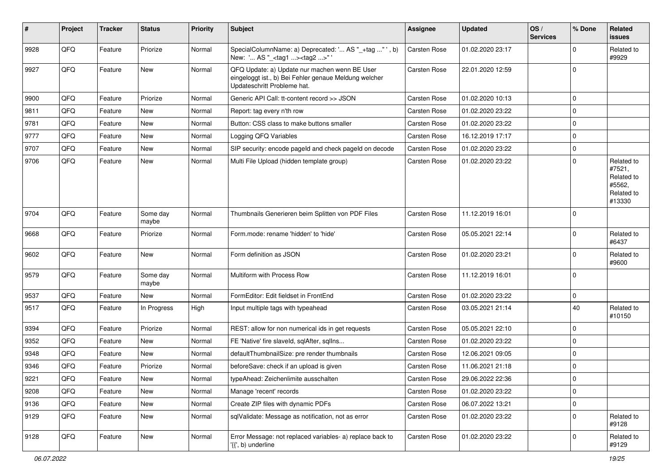| ∦    | Project | <b>Tracker</b> | <b>Status</b>     | <b>Priority</b> | Subject                                                                                                                               | <b>Assignee</b>     | <b>Updated</b>   | OS/<br><b>Services</b> | % Done      | Related<br>issues                                                    |
|------|---------|----------------|-------------------|-----------------|---------------------------------------------------------------------------------------------------------------------------------------|---------------------|------------------|------------------------|-------------|----------------------------------------------------------------------|
| 9928 | QFQ     | Feature        | Priorize          | Normal          | SpecialColumnName: a) Deprecated: ' AS "_+tag " ', b)<br>New: ' AS "_ <tag1><tag2>"'</tag2></tag1>                                    | <b>Carsten Rose</b> | 01.02.2020 23:17 |                        | $\Omega$    | Related to<br>#9929                                                  |
| 9927 | QFQ     | Feature        | New               | Normal          | QFQ Update: a) Update nur machen wenn BE User<br>eingeloggt ist., b) Bei Fehler genaue Meldung welcher<br>Updateschritt Probleme hat. | <b>Carsten Rose</b> | 22.01.2020 12:59 |                        | $\Omega$    |                                                                      |
| 9900 | QFQ     | Feature        | Priorize          | Normal          | Generic API Call: tt-content record >> JSON                                                                                           | <b>Carsten Rose</b> | 01.02.2020 10:13 |                        | $\mathbf 0$ |                                                                      |
| 9811 | QFQ     | Feature        | <b>New</b>        | Normal          | Report: tag every n'th row                                                                                                            | <b>Carsten Rose</b> | 01.02.2020 23:22 |                        | 0           |                                                                      |
| 9781 | QFQ     | Feature        | New               | Normal          | Button: CSS class to make buttons smaller                                                                                             | <b>Carsten Rose</b> | 01.02.2020 23:22 |                        | $\Omega$    |                                                                      |
| 9777 | QFQ     | Feature        | <b>New</b>        | Normal          | Logging QFQ Variables                                                                                                                 | <b>Carsten Rose</b> | 16.12.2019 17:17 |                        | $\Omega$    |                                                                      |
| 9707 | QFQ     | Feature        | New               | Normal          | SIP security: encode pageld and check pageld on decode                                                                                | <b>Carsten Rose</b> | 01.02.2020 23:22 |                        | 0           |                                                                      |
| 9706 | QFQ     | Feature        | New               | Normal          | Multi File Upload (hidden template group)                                                                                             | <b>Carsten Rose</b> | 01.02.2020 23:22 |                        | $\Omega$    | Related to<br>#7521,<br>Related to<br>#5562,<br>Related to<br>#13330 |
| 9704 | QFQ     | Feature        | Some day<br>maybe | Normal          | Thumbnails Generieren beim Splitten von PDF Files                                                                                     | <b>Carsten Rose</b> | 11.12.2019 16:01 |                        | $\mathbf 0$ |                                                                      |
| 9668 | QFQ     | Feature        | Priorize          | Normal          | Form.mode: rename 'hidden' to 'hide'                                                                                                  | <b>Carsten Rose</b> | 05.05.2021 22:14 |                        | 0           | Related to<br>#6437                                                  |
| 9602 | QFQ     | Feature        | New               | Normal          | Form definition as JSON                                                                                                               | <b>Carsten Rose</b> | 01.02.2020 23:21 |                        | $\Omega$    | Related to<br>#9600                                                  |
| 9579 | QFQ     | Feature        | Some day<br>maybe | Normal          | Multiform with Process Row                                                                                                            | <b>Carsten Rose</b> | 11.12.2019 16:01 |                        | $\Omega$    |                                                                      |
| 9537 | QFQ     | Feature        | New               | Normal          | FormEditor: Edit fieldset in FrontEnd                                                                                                 | <b>Carsten Rose</b> | 01.02.2020 23:22 |                        | $\Omega$    |                                                                      |
| 9517 | QFQ     | Feature        | In Progress       | High            | Input multiple tags with typeahead                                                                                                    | <b>Carsten Rose</b> | 03.05.2021 21:14 |                        | 40          | Related to<br>#10150                                                 |
| 9394 | QFQ     | Feature        | Priorize          | Normal          | REST: allow for non numerical ids in get requests                                                                                     | <b>Carsten Rose</b> | 05.05.2021 22:10 |                        | $\mathbf 0$ |                                                                      |
| 9352 | QFQ     | Feature        | <b>New</b>        | Normal          | FE 'Native' fire slaveld, sglAfter, sglIns                                                                                            | <b>Carsten Rose</b> | 01.02.2020 23:22 |                        | $\Omega$    |                                                                      |
| 9348 | QFQ     | Feature        | New               | Normal          | defaultThumbnailSize: pre render thumbnails                                                                                           | <b>Carsten Rose</b> | 12.06.2021 09:05 |                        | $\Omega$    |                                                                      |
| 9346 | QFQ     | Feature        | Priorize          | Normal          | beforeSave: check if an upload is given                                                                                               | <b>Carsten Rose</b> | 11.06.2021 21:18 |                        | $\Omega$    |                                                                      |
| 9221 | QFQ     | Feature        | New               | Normal          | typeAhead: Zeichenlimite ausschalten                                                                                                  | <b>Carsten Rose</b> | 29.06.2022 22:36 |                        | I۵          |                                                                      |
| 9208 | QFQ     | Feature        | New               | Normal          | Manage 'recent' records                                                                                                               | Carsten Rose        | 01.02.2020 23:22 |                        | $\mathbf 0$ |                                                                      |
| 9136 | QFQ     | Feature        | New               | Normal          | Create ZIP files with dynamic PDFs                                                                                                    | Carsten Rose        | 06.07.2022 13:21 |                        | 0           |                                                                      |
| 9129 | QFG     | Feature        | New               | Normal          | sqlValidate: Message as notification, not as error                                                                                    | Carsten Rose        | 01.02.2020 23:22 |                        | $\Omega$    | Related to<br>#9128                                                  |
| 9128 | QFQ     | Feature        | New               | Normal          | Error Message: not replaced variables- a) replace back to<br>'{{', b) underline                                                       | Carsten Rose        | 01.02.2020 23:22 |                        | $\mathbf 0$ | Related to<br>#9129                                                  |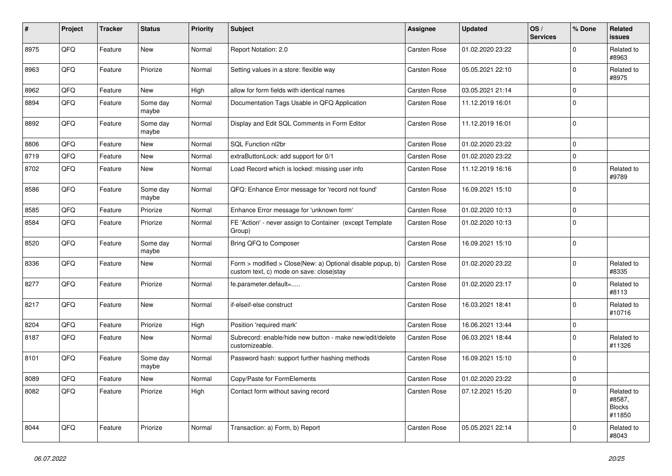| $\pmb{\sharp}$ | Project | <b>Tracker</b> | <b>Status</b>     | <b>Priority</b> | <b>Subject</b>                                                                                         | Assignee     | <b>Updated</b>   | OS/<br><b>Services</b> | % Done      | Related<br><b>issues</b>                        |
|----------------|---------|----------------|-------------------|-----------------|--------------------------------------------------------------------------------------------------------|--------------|------------------|------------------------|-------------|-------------------------------------------------|
| 8975           | QFQ     | Feature        | New               | Normal          | Report Notation: 2.0                                                                                   | Carsten Rose | 01.02.2020 23:22 |                        | $\Omega$    | Related to<br>#8963                             |
| 8963           | QFQ     | Feature        | Priorize          | Normal          | Setting values in a store: flexible way                                                                | Carsten Rose | 05.05.2021 22:10 |                        | $\mathbf 0$ | Related to<br>#8975                             |
| 8962           | QFQ     | Feature        | New               | High            | allow for form fields with identical names                                                             | Carsten Rose | 03.05.2021 21:14 |                        | $\mathbf 0$ |                                                 |
| 8894           | QFQ     | Feature        | Some day<br>maybe | Normal          | Documentation Tags Usable in QFQ Application                                                           | Carsten Rose | 11.12.2019 16:01 |                        | $\mathbf 0$ |                                                 |
| 8892           | QFQ     | Feature        | Some day<br>maybe | Normal          | Display and Edit SQL Comments in Form Editor                                                           | Carsten Rose | 11.12.2019 16:01 |                        | $\Omega$    |                                                 |
| 8806           | QFQ     | Feature        | <b>New</b>        | Normal          | SQL Function nl2br                                                                                     | Carsten Rose | 01.02.2020 23:22 |                        | $\mathbf 0$ |                                                 |
| 8719           | QFQ     | Feature        | New               | Normal          | extraButtonLock: add support for 0/1                                                                   | Carsten Rose | 01.02.2020 23:22 |                        | 0           |                                                 |
| 8702           | QFQ     | Feature        | New               | Normal          | Load Record which is locked: missing user info                                                         | Carsten Rose | 11.12.2019 16:16 |                        | $\mathbf 0$ | Related to<br>#9789                             |
| 8586           | QFQ     | Feature        | Some day<br>maybe | Normal          | QFQ: Enhance Error message for 'record not found'                                                      | Carsten Rose | 16.09.2021 15:10 |                        | $\Omega$    |                                                 |
| 8585           | QFQ     | Feature        | Priorize          | Normal          | Enhance Error message for 'unknown form'                                                               | Carsten Rose | 01.02.2020 10:13 |                        | $\mathbf 0$ |                                                 |
| 8584           | QFQ     | Feature        | Priorize          | Normal          | FE 'Action' - never assign to Container (except Template<br>Group)                                     | Carsten Rose | 01.02.2020 10:13 |                        | $\mathbf 0$ |                                                 |
| 8520           | QFQ     | Feature        | Some day<br>maybe | Normal          | Bring QFQ to Composer                                                                                  | Carsten Rose | 16.09.2021 15:10 |                        | 0           |                                                 |
| 8336           | QFQ     | Feature        | New               | Normal          | Form > modified > Close New: a) Optional disable popup, b)<br>custom text, c) mode on save: closelstay | Carsten Rose | 01.02.2020 23:22 |                        | $\Omega$    | Related to<br>#8335                             |
| 8277           | QFQ     | Feature        | Priorize          | Normal          | fe.parameter.default=                                                                                  | Carsten Rose | 01.02.2020 23:17 |                        | $\mathbf 0$ | Related to<br>#8113                             |
| 8217           | QFQ     | Feature        | New               | Normal          | if-elseif-else construct                                                                               | Carsten Rose | 16.03.2021 18:41 |                        | $\mathbf 0$ | Related to<br>#10716                            |
| 8204           | QFQ     | Feature        | Priorize          | High            | Position 'required mark'                                                                               | Carsten Rose | 16.06.2021 13:44 |                        | $\mathbf 0$ |                                                 |
| 8187           | QFQ     | Feature        | New               | Normal          | Subrecord: enable/hide new button - make new/edit/delete<br>customizeable.                             | Carsten Rose | 06.03.2021 18:44 |                        | $\Omega$    | Related to<br>#11326                            |
| 8101           | QFQ     | Feature        | Some day<br>maybe | Normal          | Password hash: support further hashing methods                                                         | Carsten Rose | 16.09.2021 15:10 |                        | $\Omega$    |                                                 |
| 8089           | QFQ     | Feature        | New               | Normal          | Copy/Paste for FormElements                                                                            | Carsten Rose | 01.02.2020 23:22 |                        | 0           |                                                 |
| 8082           | QFQ     | Feature        | Priorize          | High            | Contact form without saving record                                                                     | Carsten Rose | 07.12.2021 15:20 |                        | $\Omega$    | Related to<br>#8587,<br><b>Blocks</b><br>#11850 |
| 8044           | QFQ     | Feature        | Priorize          | Normal          | Transaction: a) Form, b) Report                                                                        | Carsten Rose | 05.05.2021 22:14 |                        | $\Omega$    | Related to<br>#8043                             |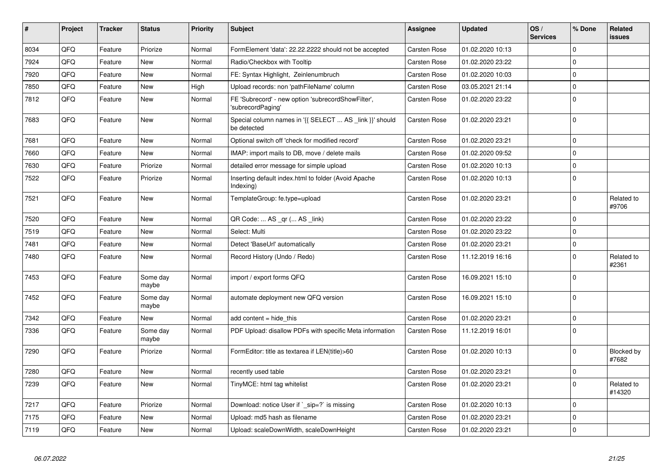| $\vert$ # | Project | <b>Tracker</b> | <b>Status</b>     | <b>Priority</b> | <b>Subject</b>                                                          | Assignee            | <b>Updated</b>   | OS/<br><b>Services</b> | % Done         | Related<br><b>issues</b> |
|-----------|---------|----------------|-------------------|-----------------|-------------------------------------------------------------------------|---------------------|------------------|------------------------|----------------|--------------------------|
| 8034      | QFQ     | Feature        | Priorize          | Normal          | FormElement 'data': 22.22.2222 should not be accepted                   | <b>Carsten Rose</b> | 01.02.2020 10:13 |                        | $\Omega$       |                          |
| 7924      | QFQ     | Feature        | <b>New</b>        | Normal          | Radio/Checkbox with Tooltip                                             | Carsten Rose        | 01.02.2020 23:22 |                        | $\mathbf 0$    |                          |
| 7920      | QFQ     | Feature        | <b>New</b>        | Normal          | FE: Syntax Highlight, Zeinlenumbruch                                    | <b>Carsten Rose</b> | 01.02.2020 10:03 |                        | $\Omega$       |                          |
| 7850      | QFQ     | Feature        | <b>New</b>        | High            | Upload records: non 'pathFileName' column                               | <b>Carsten Rose</b> | 03.05.2021 21:14 |                        | $\mathbf 0$    |                          |
| 7812      | QFQ     | Feature        | <b>New</b>        | Normal          | FE 'Subrecord' - new option 'subrecordShowFilter',<br>'subrecordPaging' | Carsten Rose        | 01.02.2020 23:22 |                        | $\Omega$       |                          |
| 7683      | QFQ     | Feature        | <b>New</b>        | Normal          | Special column names in '{{ SELECT  AS _link }}' should<br>be detected  | Carsten Rose        | 01.02.2020 23:21 |                        | $\overline{0}$ |                          |
| 7681      | QFQ     | Feature        | New               | Normal          | Optional switch off 'check for modified record'                         | Carsten Rose        | 01.02.2020 23:21 |                        | $\Omega$       |                          |
| 7660      | QFQ     | Feature        | <b>New</b>        | Normal          | IMAP: import mails to DB, move / delete mails                           | <b>Carsten Rose</b> | 01.02.2020 09:52 |                        | $\Omega$       |                          |
| 7630      | QFQ     | Feature        | Priorize          | Normal          | detailed error message for simple upload                                | Carsten Rose        | 01.02.2020 10:13 |                        | $\mathbf 0$    |                          |
| 7522      | QFQ     | Feature        | Priorize          | Normal          | Inserting default index.html to folder (Avoid Apache<br>Indexing)       | <b>Carsten Rose</b> | 01.02.2020 10:13 |                        | $\overline{0}$ |                          |
| 7521      | QFQ     | Feature        | <b>New</b>        | Normal          | TemplateGroup: fe.type=upload                                           | Carsten Rose        | 01.02.2020 23:21 |                        | $\Omega$       | Related to<br>#9706      |
| 7520      | QFQ     | Feature        | <b>New</b>        | Normal          | QR Code:  AS _qr ( AS _link)                                            | Carsten Rose        | 01.02.2020 23:22 |                        | $\Omega$       |                          |
| 7519      | QFQ     | Feature        | <b>New</b>        | Normal          | Select: Multi                                                           | <b>Carsten Rose</b> | 01.02.2020 23:22 |                        | $\mathbf 0$    |                          |
| 7481      | QFQ     | Feature        | New               | Normal          | Detect 'BaseUrl' automatically                                          | Carsten Rose        | 01.02.2020 23:21 |                        | $\Omega$       |                          |
| 7480      | QFQ     | Feature        | New               | Normal          | Record History (Undo / Redo)                                            | <b>Carsten Rose</b> | 11.12.2019 16:16 |                        | $\Omega$       | Related to<br>#2361      |
| 7453      | QFQ     | Feature        | Some day<br>maybe | Normal          | import / export forms QFQ                                               | <b>Carsten Rose</b> | 16.09.2021 15:10 |                        | $\Omega$       |                          |
| 7452      | QFQ     | Feature        | Some day<br>maybe | Normal          | automate deployment new QFQ version                                     | <b>Carsten Rose</b> | 16.09.2021 15:10 |                        | $\overline{0}$ |                          |
| 7342      | QFQ     | Feature        | <b>New</b>        | Normal          | add content $=$ hide this                                               | <b>Carsten Rose</b> | 01.02.2020 23:21 |                        | $\Omega$       |                          |
| 7336      | QFQ     | Feature        | Some day<br>maybe | Normal          | PDF Upload: disallow PDFs with specific Meta information                | <b>Carsten Rose</b> | 11.12.2019 16:01 |                        | $\overline{0}$ |                          |
| 7290      | QFQ     | Feature        | Priorize          | Normal          | FormEditor: title as textarea if LEN(title)>60                          | <b>Carsten Rose</b> | 01.02.2020 10:13 |                        | $\Omega$       | Blocked by<br>#7682      |
| 7280      | QFQ     | Feature        | <b>New</b>        | Normal          | recently used table                                                     | <b>Carsten Rose</b> | 01.02.2020 23:21 |                        | $\mathbf 0$    |                          |
| 7239      | QFQ     | Feature        | New               | Normal          | TinyMCE: html tag whitelist                                             | <b>Carsten Rose</b> | 01.02.2020 23:21 |                        | $\mathbf 0$    | Related to<br>#14320     |
| 7217      | QFQ     | Feature        | Priorize          | Normal          | Download: notice User if ` sip=?` is missing                            | Carsten Rose        | 01.02.2020 10:13 |                        | $\mathbf 0$    |                          |
| 7175      | QFQ     | Feature        | <b>New</b>        | Normal          | Upload: md5 hash as filename                                            | Carsten Rose        | 01.02.2020 23:21 |                        | $\Omega$       |                          |
| 7119      | QFQ     | Feature        | New               | Normal          | Upload: scaleDownWidth, scaleDownHeight                                 | <b>Carsten Rose</b> | 01.02.2020 23:21 |                        | 0              |                          |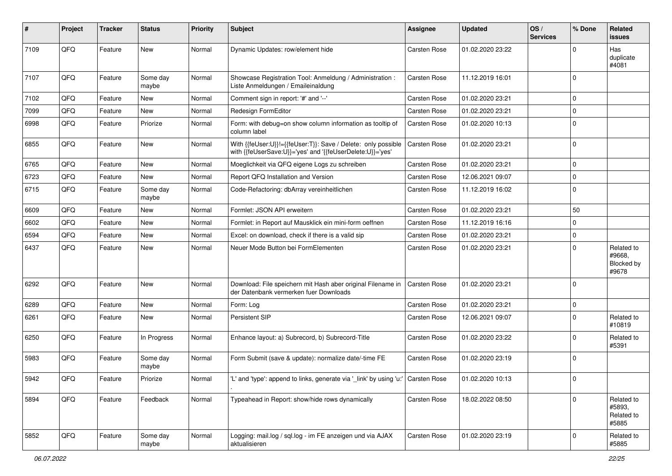| ∦    | Project | <b>Tracker</b> | <b>Status</b>     | <b>Priority</b> | <b>Subject</b>                                                                                                             | <b>Assignee</b>     | <b>Updated</b>   | OS/<br><b>Services</b> | % Done         | Related<br>issues                           |
|------|---------|----------------|-------------------|-----------------|----------------------------------------------------------------------------------------------------------------------------|---------------------|------------------|------------------------|----------------|---------------------------------------------|
| 7109 | QFQ     | Feature        | <b>New</b>        | Normal          | Dynamic Updates: row/element hide                                                                                          | <b>Carsten Rose</b> | 01.02.2020 23:22 |                        | $\Omega$       | Has<br>duplicate<br>#4081                   |
| 7107 | QFQ     | Feature        | Some day<br>maybe | Normal          | Showcase Registration Tool: Anmeldung / Administration :<br>Liste Anmeldungen / Emaileinaldung                             | <b>Carsten Rose</b> | 11.12.2019 16:01 |                        | $\Omega$       |                                             |
| 7102 | QFQ     | Feature        | <b>New</b>        | Normal          | Comment sign in report: '#' and '--'                                                                                       | <b>Carsten Rose</b> | 01.02.2020 23:21 |                        | $\mathbf 0$    |                                             |
| 7099 | QFQ     | Feature        | New               | Normal          | Redesign FormEditor                                                                                                        | <b>Carsten Rose</b> | 01.02.2020 23:21 |                        | $\mathbf 0$    |                                             |
| 6998 | QFQ     | Feature        | Priorize          | Normal          | Form: with debug=on show column information as tooltip of<br>column label                                                  | <b>Carsten Rose</b> | 01.02.2020 10:13 |                        | $\Omega$       |                                             |
| 6855 | QFQ     | Feature        | New               | Normal          | With {{feUser:U}}!={{feUser:T}}: Save / Delete: only possible<br>with {{feUserSave:U}}='yes' and '{{feUserDelete:U}}='yes' | <b>Carsten Rose</b> | 01.02.2020 23:21 |                        | $\Omega$       |                                             |
| 6765 | QFQ     | Feature        | <b>New</b>        | Normal          | Moeglichkeit via QFQ eigene Logs zu schreiben                                                                              | Carsten Rose        | 01.02.2020 23:21 |                        | 0              |                                             |
| 6723 | QFQ     | Feature        | New               | Normal          | Report QFQ Installation and Version                                                                                        | <b>Carsten Rose</b> | 12.06.2021 09:07 |                        | 0              |                                             |
| 6715 | QFQ     | Feature        | Some day<br>maybe | Normal          | Code-Refactoring: dbArray vereinheitlichen                                                                                 | <b>Carsten Rose</b> | 11.12.2019 16:02 |                        | $\Omega$       |                                             |
| 6609 | QFQ     | Feature        | New               | Normal          | Formlet: JSON API erweitern                                                                                                | <b>Carsten Rose</b> | 01.02.2020 23:21 |                        | 50             |                                             |
| 6602 | QFQ     | Feature        | New               | Normal          | Formlet: in Report auf Mausklick ein mini-form oeffnen                                                                     | <b>Carsten Rose</b> | 11.12.2019 16:16 |                        | 0              |                                             |
| 6594 | QFQ     | Feature        | New               | Normal          | Excel: on download, check if there is a valid sip                                                                          | <b>Carsten Rose</b> | 01.02.2020 23:21 |                        | 0              |                                             |
| 6437 | QFQ     | Feature        | New               | Normal          | Neuer Mode Button bei FormElementen                                                                                        | Carsten Rose        | 01.02.2020 23:21 |                        | $\Omega$       | Related to<br>#9668,<br>Blocked by<br>#9678 |
| 6292 | QFQ     | Feature        | <b>New</b>        | Normal          | Download: File speichern mit Hash aber original Filename in<br>der Datenbank vermerken fuer Downloads                      | <b>Carsten Rose</b> | 01.02.2020 23:21 |                        | 0              |                                             |
| 6289 | QFQ     | Feature        | <b>New</b>        | Normal          | Form: Log                                                                                                                  | <b>Carsten Rose</b> | 01.02.2020 23:21 |                        | $\mathbf 0$    |                                             |
| 6261 | QFQ     | Feature        | New               | Normal          | Persistent SIP                                                                                                             | Carsten Rose        | 12.06.2021 09:07 |                        | $\Omega$       | Related to<br>#10819                        |
| 6250 | QFQ     | Feature        | In Progress       | Normal          | Enhance layout: a) Subrecord, b) Subrecord-Title                                                                           | <b>Carsten Rose</b> | 01.02.2020 23:22 |                        | $\mathbf 0$    | Related to<br>#5391                         |
| 5983 | QFQ     | Feature        | Some day<br>maybe | Normal          | Form Submit (save & update): normalize date/-time FE                                                                       | <b>Carsten Rose</b> | 01.02.2020 23:19 |                        | $\mathbf 0$    |                                             |
| 5942 | QFQ     | Feature        | Priorize          | Normal          | 'L' and 'type': append to links, generate via '_link' by using 'u:' Carsten Rose                                           |                     | 01.02.2020 10:13 |                        | $\overline{0}$ |                                             |
| 5894 | QFQ     | Feature        | Feedback          | Normal          | Typeahead in Report: show/hide rows dynamically                                                                            | <b>Carsten Rose</b> | 18.02.2022 08:50 |                        | $\Omega$       | Related to<br>#5893,<br>Related to<br>#5885 |
| 5852 | QFQ     | Feature        | Some day<br>maybe | Normal          | Logging: mail.log / sql.log - im FE anzeigen und via AJAX<br>aktualisieren                                                 | Carsten Rose        | 01.02.2020 23:19 |                        | $\mathbf 0$    | Related to<br>#5885                         |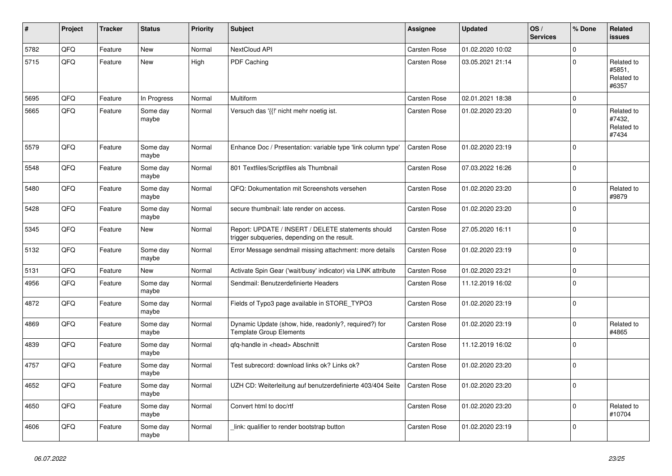| #    | Project | <b>Tracker</b> | <b>Status</b>     | <b>Priority</b> | <b>Subject</b>                                                                                     | Assignee            | <b>Updated</b>   | OS/<br><b>Services</b> | % Done      | Related<br><b>issues</b>                    |
|------|---------|----------------|-------------------|-----------------|----------------------------------------------------------------------------------------------------|---------------------|------------------|------------------------|-------------|---------------------------------------------|
| 5782 | QFQ     | Feature        | <b>New</b>        | Normal          | NextCloud API                                                                                      | Carsten Rose        | 01.02.2020 10:02 |                        | $\Omega$    |                                             |
| 5715 | QFQ     | Feature        | New               | High            | <b>PDF Caching</b>                                                                                 | <b>Carsten Rose</b> | 03.05.2021 21:14 |                        | $\Omega$    | Related to<br>#5851,<br>Related to<br>#6357 |
| 5695 | QFQ     | Feature        | In Progress       | Normal          | Multiform                                                                                          | <b>Carsten Rose</b> | 02.01.2021 18:38 |                        | $\mathbf 0$ |                                             |
| 5665 | QFQ     | Feature        | Some day<br>maybe | Normal          | Versuch das '{{!' nicht mehr noetig ist.                                                           | <b>Carsten Rose</b> | 01.02.2020 23:20 |                        | $\Omega$    | Related to<br>#7432,<br>Related to<br>#7434 |
| 5579 | QFQ     | Feature        | Some day<br>maybe | Normal          | Enhance Doc / Presentation: variable type 'link column type'                                       | <b>Carsten Rose</b> | 01.02.2020 23:19 |                        | $\mathbf 0$ |                                             |
| 5548 | QFQ     | Feature        | Some day<br>maybe | Normal          | 801 Textfiles/Scriptfiles als Thumbnail                                                            | <b>Carsten Rose</b> | 07.03.2022 16:26 |                        | $\Omega$    |                                             |
| 5480 | QFQ     | Feature        | Some day<br>maybe | Normal          | QFQ: Dokumentation mit Screenshots versehen                                                        | <b>Carsten Rose</b> | 01.02.2020 23:20 |                        | $\Omega$    | Related to<br>#9879                         |
| 5428 | QFQ     | Feature        | Some day<br>maybe | Normal          | secure thumbnail: late render on access.                                                           | Carsten Rose        | 01.02.2020 23:20 |                        | $\mathbf 0$ |                                             |
| 5345 | QFQ     | Feature        | <b>New</b>        | Normal          | Report: UPDATE / INSERT / DELETE statements should<br>trigger subgueries, depending on the result. | Carsten Rose        | 27.05.2020 16:11 |                        | $\Omega$    |                                             |
| 5132 | QFQ     | Feature        | Some day<br>maybe | Normal          | Error Message sendmail missing attachment: more details                                            | <b>Carsten Rose</b> | 01.02.2020 23:19 |                        | $\Omega$    |                                             |
| 5131 | QFQ     | Feature        | New               | Normal          | Activate Spin Gear ('wait/busy' indicator) via LINK attribute                                      | Carsten Rose        | 01.02.2020 23:21 |                        | $\mathbf 0$ |                                             |
| 4956 | QFQ     | Feature        | Some day<br>maybe | Normal          | Sendmail: Benutzerdefinierte Headers                                                               | Carsten Rose        | 11.12.2019 16:02 |                        | $\mathbf 0$ |                                             |
| 4872 | QFQ     | Feature        | Some day<br>maybe | Normal          | Fields of Typo3 page available in STORE_TYPO3                                                      | Carsten Rose        | 01.02.2020 23:19 |                        | $\Omega$    |                                             |
| 4869 | QFQ     | Feature        | Some day<br>maybe | Normal          | Dynamic Update (show, hide, readonly?, required?) for<br><b>Template Group Elements</b>            | <b>Carsten Rose</b> | 01.02.2020 23:19 |                        | $\Omega$    | Related to<br>#4865                         |
| 4839 | QFQ     | Feature        | Some day<br>maybe | Normal          | gfg-handle in <head> Abschnitt</head>                                                              | <b>Carsten Rose</b> | 11.12.2019 16:02 |                        | $\mathbf 0$ |                                             |
| 4757 | QFQ     | Feature        | Some day<br>maybe | Normal          | Test subrecord: download links ok? Links ok?                                                       | Carsten Rose        | 01.02.2020 23:20 |                        | $\Omega$    |                                             |
| 4652 | QFQ     | Feature        | Some day<br>maybe | Normal          | UZH CD: Weiterleitung auf benutzerdefinierte 403/404 Seite                                         | <b>Carsten Rose</b> | 01.02.2020 23:20 |                        | $\Omega$    |                                             |
| 4650 | QFQ     | Feature        | Some day<br>maybe | Normal          | Convert html to doc/rtf                                                                            | <b>Carsten Rose</b> | 01.02.2020 23:20 |                        | $\mathbf 0$ | Related to<br>#10704                        |
| 4606 | QFQ     | Feature        | Some day<br>maybe | Normal          | link: qualifier to render bootstrap button                                                         | Carsten Rose        | 01.02.2020 23:19 |                        | $\Omega$    |                                             |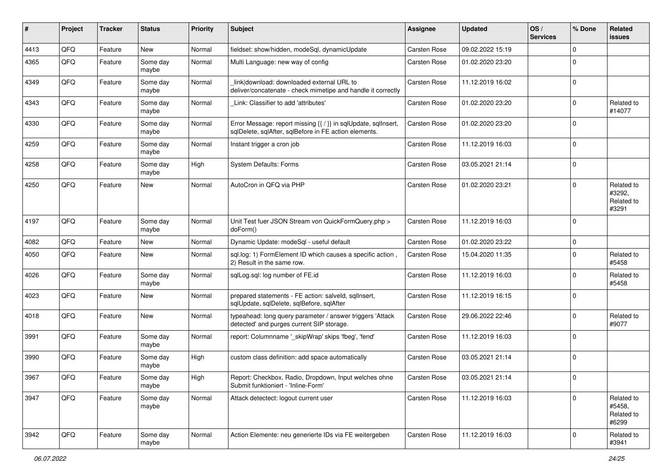| $\sharp$ | Project | <b>Tracker</b> | <b>Status</b>     | <b>Priority</b> | <b>Subject</b>                                                                                                          | Assignee            | <b>Updated</b>   | OS/<br><b>Services</b> | % Done         | Related<br><b>issues</b>                    |
|----------|---------|----------------|-------------------|-----------------|-------------------------------------------------------------------------------------------------------------------------|---------------------|------------------|------------------------|----------------|---------------------------------------------|
| 4413     | QFQ     | Feature        | <b>New</b>        | Normal          | fieldset: show/hidden, modeSql, dynamicUpdate                                                                           | <b>Carsten Rose</b> | 09.02.2022 15:19 |                        | $\Omega$       |                                             |
| 4365     | QFQ     | Feature        | Some day<br>maybe | Normal          | Multi Language: new way of config                                                                                       | <b>Carsten Rose</b> | 01.02.2020 23:20 |                        | $\Omega$       |                                             |
| 4349     | QFQ     | Feature        | Some day<br>maybe | Normal          | linkldownload: downloaded external URL to<br>deliver/concatenate - check mimetipe and handle it correctly               | <b>Carsten Rose</b> | 11.12.2019 16:02 |                        | $\mathbf 0$    |                                             |
| 4343     | QFQ     | Feature        | Some day<br>maybe | Normal          | Link: Classifier to add 'attributes'                                                                                    | <b>Carsten Rose</b> | 01.02.2020 23:20 |                        | $\Omega$       | Related to<br>#14077                        |
| 4330     | QFQ     | Feature        | Some day<br>maybe | Normal          | Error Message: report missing {{ / }} in sqlUpdate, sqlInsert,<br>sqlDelete, sqlAfter, sqlBefore in FE action elements. | <b>Carsten Rose</b> | 01.02.2020 23:20 |                        | $\Omega$       |                                             |
| 4259     | QFQ     | Feature        | Some day<br>maybe | Normal          | Instant trigger a cron job                                                                                              | Carsten Rose        | 11.12.2019 16:03 |                        | $\mathbf 0$    |                                             |
| 4258     | QFQ     | Feature        | Some day<br>maybe | High            | <b>System Defaults: Forms</b>                                                                                           | <b>Carsten Rose</b> | 03.05.2021 21:14 |                        | 0              |                                             |
| 4250     | QFQ     | Feature        | <b>New</b>        | Normal          | AutoCron in QFQ via PHP                                                                                                 | <b>Carsten Rose</b> | 01.02.2020 23:21 |                        | $\mathbf 0$    | Related to<br>#3292,<br>Related to<br>#3291 |
| 4197     | QFQ     | Feature        | Some day<br>maybe | Normal          | Unit Test fuer JSON Stream von QuickFormQuery.php ><br>doForm()                                                         | <b>Carsten Rose</b> | 11.12.2019 16:03 |                        | $\mathbf 0$    |                                             |
| 4082     | QFQ     | Feature        | <b>New</b>        | Normal          | Dynamic Update: modeSql - useful default                                                                                | <b>Carsten Rose</b> | 01.02.2020 23:22 |                        | $\mathbf 0$    |                                             |
| 4050     | QFQ     | Feature        | <b>New</b>        | Normal          | sql.log: 1) FormElement ID which causes a specific action,<br>2) Result in the same row.                                | <b>Carsten Rose</b> | 15.04.2020 11:35 |                        | $\mathbf 0$    | Related to<br>#5458                         |
| 4026     | QFQ     | Feature        | Some day<br>maybe | Normal          | sqlLog.sql: log number of FE.id                                                                                         | <b>Carsten Rose</b> | 11.12.2019 16:03 |                        | $\mathbf 0$    | Related to<br>#5458                         |
| 4023     | QFQ     | Feature        | New               | Normal          | prepared statements - FE action: salveld, sqllnsert,<br>sqlUpdate, sqlDelete, sqlBefore, sqlAfter                       | <b>Carsten Rose</b> | 11.12.2019 16:15 |                        | $\Omega$       |                                             |
| 4018     | QFQ     | Feature        | <b>New</b>        | Normal          | typeahead: long query parameter / answer triggers 'Attack<br>detected' and purges current SIP storage.                  | Carsten Rose        | 29.06.2022 22:46 |                        | $\Omega$       | Related to<br>#9077                         |
| 3991     | QFQ     | Feature        | Some day<br>maybe | Normal          | report: Columnname ' skipWrap' skips 'fbeg', 'fend'                                                                     | <b>Carsten Rose</b> | 11.12.2019 16:03 |                        | $\mathbf 0$    |                                             |
| 3990     | QFQ     | Feature        | Some day<br>maybe | High            | custom class definition: add space automatically                                                                        | <b>Carsten Rose</b> | 03.05.2021 21:14 |                        | 0              |                                             |
| 3967     | QFQ     | Feature        | Some day<br>maybe | High            | Report: Checkbox, Radio, Dropdown, Input welches ohne<br>Submit funktioniert - 'Inline-Form'                            | <b>Carsten Rose</b> | 03.05.2021 21:14 |                        | 0              |                                             |
| 3947     | QFQ     | Feature        | Some day<br>maybe | Normal          | Attack detectect: logout current user                                                                                   | Carsten Rose        | 11.12.2019 16:03 |                        | $\mathbf 0$    | Related to<br>#5458,<br>Related to<br>#6299 |
| 3942     | QFQ     | Feature        | Some day<br>maybe | Normal          | Action Elemente: neu generierte IDs via FE weitergeben                                                                  | Carsten Rose        | 11.12.2019 16:03 |                        | $\overline{0}$ | Related to<br>#3941                         |